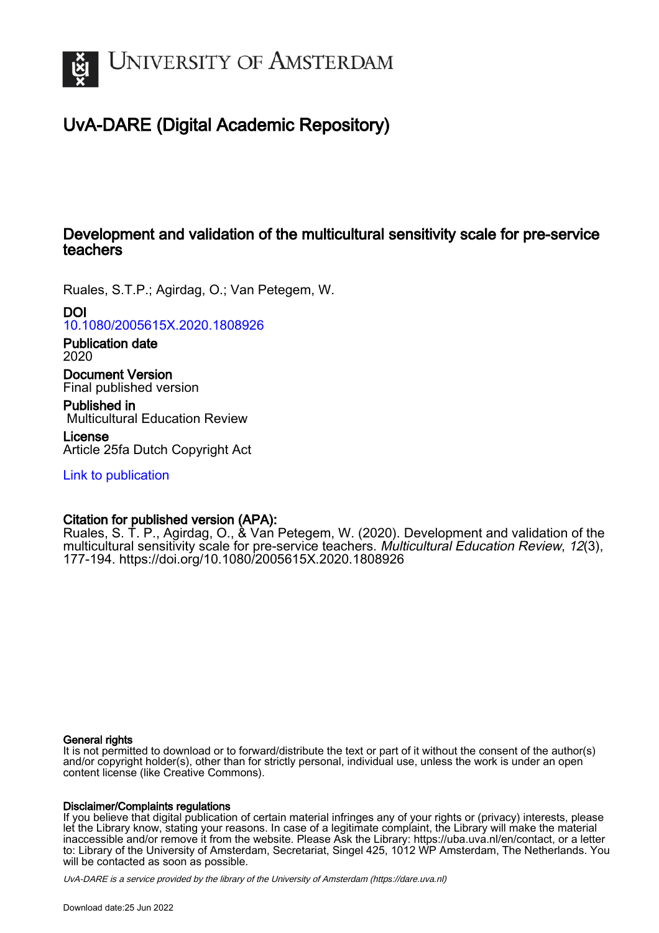

# UvA-DARE (Digital Academic Repository)

## Development and validation of the multicultural sensitivity scale for pre-service teachers

Ruales, S.T.P.; Agirdag, O.; Van Petegem, W.

## DOI

[10.1080/2005615X.2020.1808926](https://doi.org/10.1080/2005615X.2020.1808926)

Publication date 2020

Document Version Final published version

Published in Multicultural Education Review

License Article 25fa Dutch Copyright Act

[Link to publication](https://dare.uva.nl/personal/pure/en/publications/development-and-validation-of-the-multicultural-sensitivity-scale-for-preservice-teachers(15d0ac75-2dd0-431f-9065-a0aaaaf6c9fd).html)

## Citation for published version (APA):

Ruales, S. T. P., Agirdag, O., & Van Petegem, W. (2020). Development and validation of the multicultural sensitivity scale for pre-service teachers. Multicultural Education Review, 12(3), 177-194. <https://doi.org/10.1080/2005615X.2020.1808926>

### General rights

It is not permitted to download or to forward/distribute the text or part of it without the consent of the author(s) and/or copyright holder(s), other than for strictly personal, individual use, unless the work is under an open content license (like Creative Commons).

### Disclaimer/Complaints regulations

If you believe that digital publication of certain material infringes any of your rights or (privacy) interests, please let the Library know, stating your reasons. In case of a legitimate complaint, the Library will make the material inaccessible and/or remove it from the website. Please Ask the Library: https://uba.uva.nl/en/contact, or a letter to: Library of the University of Amsterdam, Secretariat, Singel 425, 1012 WP Amsterdam, The Netherlands. You will be contacted as soon as possible.

UvA-DARE is a service provided by the library of the University of Amsterdam (http*s*://dare.uva.nl)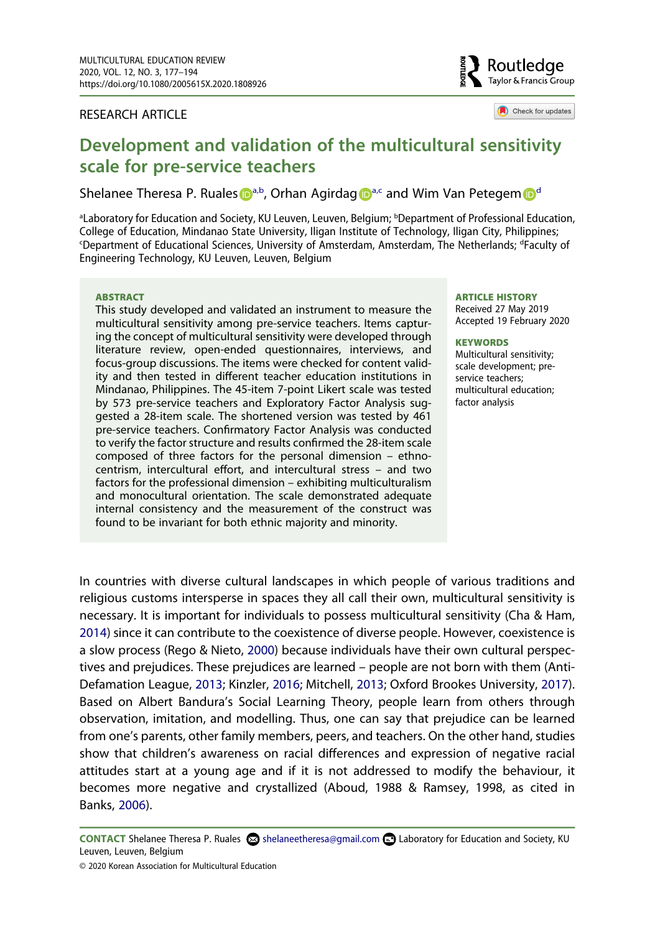### RESEARCH ARTICLE



Check for updates

## **Development and validation of the multicultural sensitivity scale for pre-service teachers**

### Shelanee There[s](http://orcid.org/0000-0002-1263-0013)[a](#page-1-0) P. Ruales  $\mathbf{D}^{a,b}$ , Orhan A[g](http://orcid.org/0000-0002-5508-1501)ir[d](#page-1-1)ag  $\mathbf{D}^{a,c}$  $\mathbf{D}^{a,c}$  $\mathbf{D}^{a,c}$  and Wim Van Petegem  $\mathbf{D}^{d}$

<span id="page-1-1"></span><span id="page-1-0"></span><sup>a</sup>Laboratory for Education and Society, KU Leuven, Leuven, Belgium; <sup>b</sup>Department of Professional Education, College of Education, Mindanao State University, Iligan Institute of Technology, Iligan City, Philippines; c Department of Educational Sciences, University of Amsterdam, Amsterdam, The Netherlands; <sup>d</sup>Faculty of Engineering Technology, KU Leuven, Leuven, Belgium

#### **ABSTRACT**

This study developed and validated an instrument to measure the multicultural sensitivity among pre-service teachers. Items capturing the concept of multicultural sensitivity were developed through literature review, open-ended questionnaires, interviews, and focus-group discussions. The items were checked for content validity and then tested in different teacher education institutions in Mindanao, Philippines. The 45-item 7-point Likert scale was tested by 573 pre-service teachers and Exploratory Factor Analysis suggested a 28-item scale. The shortened version was tested by 461 pre-service teachers. Confirmatory Factor Analysis was conducted to verify the factor structure and results confirmed the 28-item scale composed of three factors for the personal dimension – ethnocentrism, intercultural effort, and intercultural stress – and two factors for the professional dimension – exhibiting multiculturalism and monocultural orientation. The scale demonstrated adequate internal consistency and the measurement of the construct was found to be invariant for both ethnic majority and minority.

#### **ARTICLE HISTORY**

Received 27 May 2019 Accepted 19 February 2020

#### **KEYWORDS**

Multicultural sensitivity; scale development; preservice teachers; multicultural education; factor analysis

<span id="page-1-5"></span><span id="page-1-4"></span><span id="page-1-2"></span>In countries with diverse cultural landscapes in which people of various traditions and religious customs intersperse in spaces they all call their own, multicultural sensitivity is necessary. It is important for individuals to possess multicultural sensitivity (Cha & Ham, [2014\)](#page-14-0) since it can contribute to the coexistence of diverse people. However, coexistence is a slow process (Rego & Nieto, [2000\)](#page-16-0) because individuals have their own cultural perspectives and prejudices. These prejudices are learned – people are not born with them (Anti-Defamation League, [2013;](#page-14-1) Kinzler, [2016;](#page-15-0) Mitchell, [2013](#page-16-1); Oxford Brookes University, [2017](#page-16-2)). Based on Albert Bandura's Social Learning Theory, people learn from others through observation, imitation, and modelling. Thus, one can say that prejudice can be learned from one's parents, other family members, peers, and teachers. On the other hand, studies show that children's awareness on racial differences and expression of negative racial attitudes start at a young age and if it is not addressed to modify the behaviour, it becomes more negative and crystallized (Aboud, 1988 & Ramsey, 1998, as cited in Banks, [2006\)](#page-14-2).

<span id="page-1-3"></span>**CONTACT** Shelanee Theresa P. Ruales solelaneetheresa@gmail.com **I** Laboratory for Education and Society, KU Leuven, Leuven, Belgium

<sup>© 2020</sup> Korean Association for Multicultural Education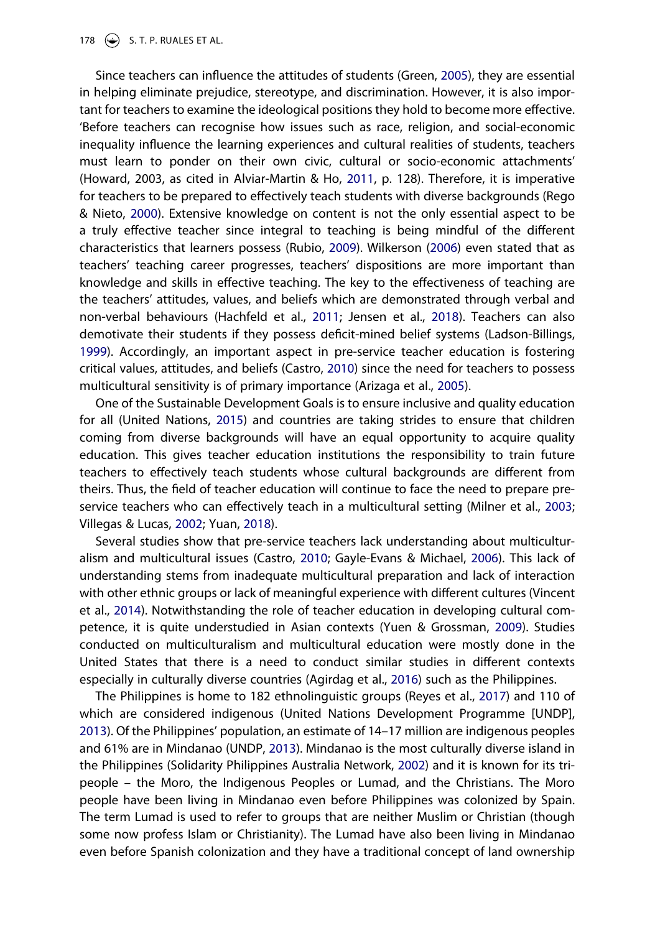<span id="page-2-4"></span><span id="page-2-1"></span>Since teachers can influence the attitudes of students (Green, [2005\)](#page-15-1), they are essential in helping eliminate prejudice, stereotype, and discrimination. However, it is also important for teachers to examine the ideological positions they hold to become more effective. 'Before teachers can recognise how issues such as race, religion, and social-economic inequality influence the learning experiences and cultural realities of students, teachers must learn to ponder on their own civic, cultural or socio-economic attachments' (Howard, 2003, as cited in Alviar-Martin & Ho, [2011,](#page-14-3) p. 128). Therefore, it is imperative for teachers to be prepared to effectively teach students with diverse backgrounds (Rego & Nieto, [2000\)](#page-16-0). Extensive knowledge on content is not the only essential aspect to be a truly effective teacher since integral to teaching is being mindful of the different characteristics that learners possess (Rubio, [2009](#page-17-0)). Wilkerson [\(2006\)](#page-18-0) even stated that as teachers' teaching career progresses, teachers' dispositions are more important than knowledge and skills in effective teaching. The key to the effectiveness of teaching are the teachers' attitudes, values, and beliefs which are demonstrated through verbal and non-verbal behaviours (Hachfeld et al., [2011;](#page-15-2) Jensen et al., [2018\)](#page-15-3). Teachers can also demotivate their students if they possess deficit-mined belief systems (Ladson-Billings, [1999\)](#page-15-4). Accordingly, an important aspect in pre-service teacher education is fostering critical values, attitudes, and beliefs (Castro, [2010\)](#page-14-4) since the need for teachers to possess multicultural sensitivity is of primary importance (Arizaga et al., [2005](#page-14-5)).

<span id="page-2-11"></span><span id="page-2-9"></span><span id="page-2-6"></span><span id="page-2-5"></span><span id="page-2-2"></span>One of the Sustainable Development Goals is to ensure inclusive and quality education for all (United Nations, [2015](#page-17-1)) and countries are taking strides to ensure that children coming from diverse backgrounds will have an equal opportunity to acquire quality education. This gives teacher education institutions the responsibility to train future teachers to effectively teach students whose cultural backgrounds are different from theirs. Thus, the field of teacher education will continue to face the need to prepare preservice teachers who can effectively teach in a multicultural setting (Milner et al., [2003](#page-15-5); Villegas & Lucas, [2002;](#page-17-2) Yuan, [2018](#page-18-1)).

<span id="page-2-14"></span><span id="page-2-13"></span><span id="page-2-7"></span><span id="page-2-3"></span>Several studies show that pre-service teachers lack understanding about multiculturalism and multicultural issues (Castro, [2010;](#page-14-4) Gayle-Evans & Michael, [2006](#page-15-6)). This lack of understanding stems from inadequate multicultural preparation and lack of interaction with other ethnic groups or lack of meaningful experience with different cultures (Vincent et al., [2014](#page-17-3)). Notwithstanding the role of teacher education in developing cultural competence, it is quite understudied in Asian contexts (Yuen & Grossman, [2009](#page-18-2)). Studies conducted on multiculturalism and multicultural education were mostly done in the United States that there is a need to conduct similar studies in different contexts especially in culturally diverse countries (Agirdag et al., [2016](#page-14-6)) such as the Philippines.

<span id="page-2-15"></span><span id="page-2-12"></span><span id="page-2-10"></span><span id="page-2-8"></span><span id="page-2-0"></span>The Philippines is home to 182 ethnolinguistic groups (Reyes et al., [2017](#page-16-3)) and 110 of which are considered indigenous (United Nations Development Programme [UNDP], [2013\)](#page-17-4). Of the Philippines' population, an estimate of 14–17 million are indigenous peoples and 61% are in Mindanao (UNDP, [2013](#page-17-4)). Mindanao is the most culturally diverse island in the Philippines (Solidarity Philippines Australia Network, [2002](#page-17-5)) and it is known for its tripeople – the Moro, the Indigenous Peoples or Lumad, and the Christians. The Moro people have been living in Mindanao even before Philippines was colonized by Spain. The term Lumad is used to refer to groups that are neither Muslim or Christian (though some now profess Islam or Christianity). The Lumad have also been living in Mindanao even before Spanish colonization and they have a traditional concept of land ownership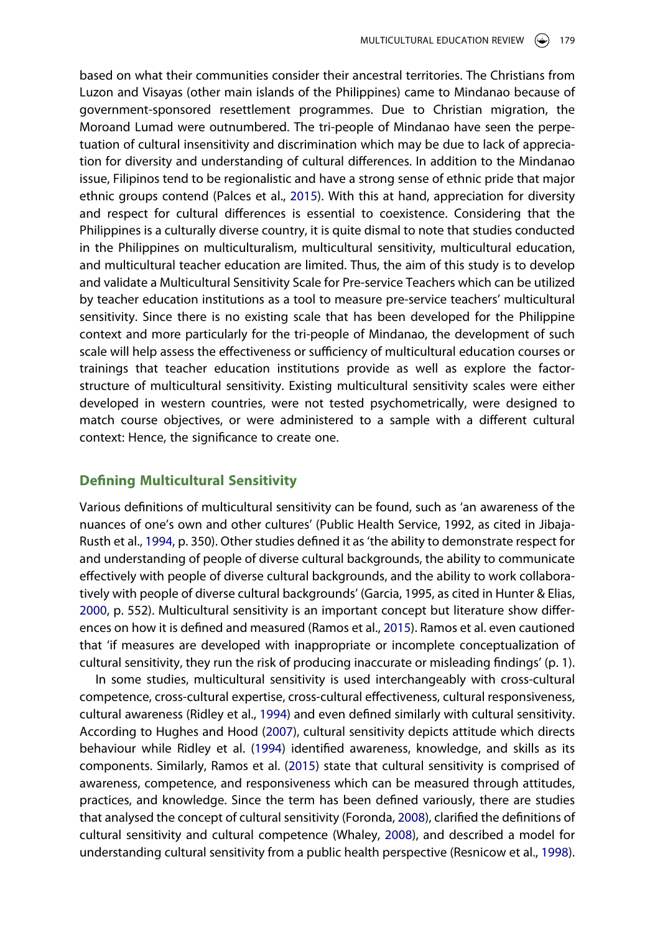<span id="page-3-4"></span>based on what their communities consider their ancestral territories. The Christians from Luzon and Visayas (other main islands of the Philippines) came to Mindanao because of government-sponsored resettlement programmes. Due to Christian migration, the Moroand Lumad were outnumbered. The tri-people of Mindanao have seen the perpetuation of cultural insensitivity and discrimination which may be due to lack of appreciation for diversity and understanding of cultural differences. In addition to the Mindanao issue, Filipinos tend to be regionalistic and have a strong sense of ethnic pride that major ethnic groups contend (Palces et al., [2015](#page-16-4)). With this at hand, appreciation for diversity and respect for cultural differences is essential to coexistence. Considering that the Philippines is a culturally diverse country, it is quite dismal to note that studies conducted in the Philippines on multiculturalism, multicultural sensitivity, multicultural education, and multicultural teacher education are limited. Thus, the aim of this study is to develop and validate a Multicultural Sensitivity Scale for Pre-service Teachers which can be utilized by teacher education institutions as a tool to measure pre-service teachers' multicultural sensitivity. Since there is no existing scale that has been developed for the Philippine context and more particularly for the tri-people of Mindanao, the development of such scale will help assess the effectiveness or sufficiency of multicultural education courses or trainings that teacher education institutions provide as well as explore the factorstructure of multicultural sensitivity. Existing multicultural sensitivity scales were either developed in western countries, were not tested psychometrically, were designed to match course objectives, or were administered to a sample with a different cultural context: Hence, the significance to create one.

### **Defining Multicultural Sensitivity**

<span id="page-3-3"></span><span id="page-3-2"></span>Various definitions of multicultural sensitivity can be found, such as 'an awareness of the nuances of one's own and other cultures' (Public Health Service, 1992, as cited in Jibaja-Rusth et al., [1994,](#page-15-7) p. 350). Other studies defined it as 'the ability to demonstrate respect for and understanding of people of diverse cultural backgrounds, the ability to communicate effectively with people of diverse cultural backgrounds, and the ability to work collaboratively with people of diverse cultural backgrounds' (Garcia, 1995, as cited in Hunter & Elias, [2000,](#page-15-8) p. 552). Multicultural sensitivity is an important concept but literature show differences on how it is defined and measured (Ramos et al., [2015\)](#page-16-5). Ramos et al. even cautioned that 'if measures are developed with inappropriate or incomplete conceptualization of cultural sensitivity, they run the risk of producing inaccurate or misleading findings' (p. 1).

<span id="page-3-8"></span><span id="page-3-7"></span><span id="page-3-6"></span><span id="page-3-5"></span><span id="page-3-1"></span><span id="page-3-0"></span>In some studies, multicultural sensitivity is used interchangeably with cross-cultural competence, cross-cultural expertise, cross-cultural effectiveness, cultural responsiveness, cultural awareness (Ridley et al., [1994](#page-16-6)) and even defined similarly with cultural sensitivity. According to Hughes and Hood [\(2007\)](#page-15-9), cultural sensitivity depicts attitude which directs behaviour while Ridley et al. ([1994](#page-16-6)) identified awareness, knowledge, and skills as its components. Similarly, Ramos et al. [\(2015\)](#page-16-5) state that cultural sensitivity is comprised of awareness, competence, and responsiveness which can be measured through attitudes, practices, and knowledge. Since the term has been defined variously, there are studies that analysed the concept of cultural sensitivity (Foronda, [2008](#page-14-7)), clarified the definitions of cultural sensitivity and cultural competence (Whaley, [2008\)](#page-18-3), and described a model for understanding cultural sensitivity from a public health perspective (Resnicow et al., [1998](#page-16-7)).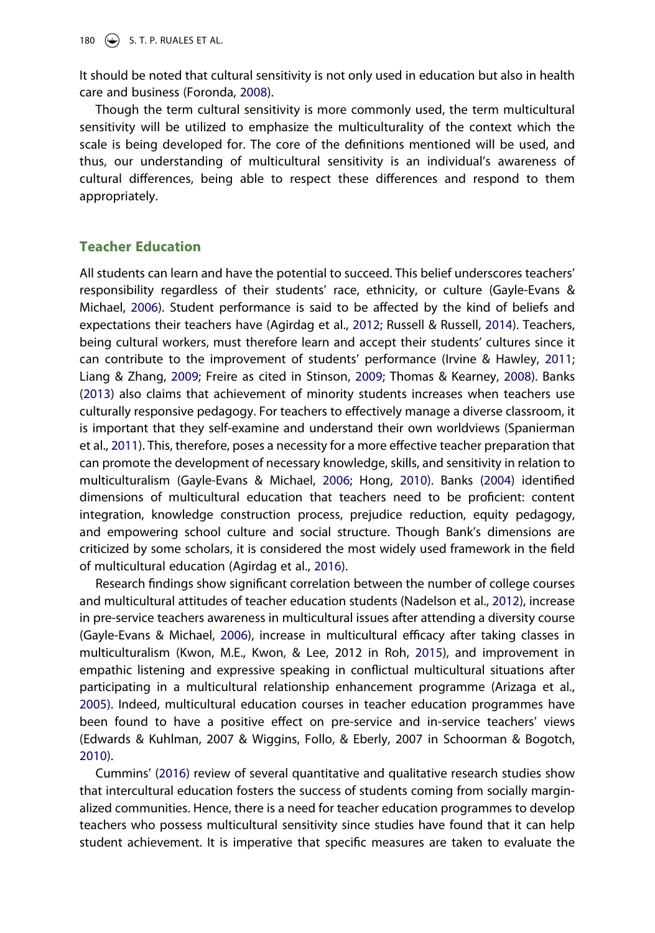It should be noted that cultural sensitivity is not only used in education but also in health care and business (Foronda, [2008](#page-14-7)).

Though the term cultural sensitivity is more commonly used, the term multicultural sensitivity will be utilized to emphasize the multiculturality of the context which the scale is being developed for. The core of the definitions mentioned will be used, and thus, our understanding of multicultural sensitivity is an individual's awareness of cultural differences, being able to respect these differences and respond to them appropriately.

### **Teacher Education**

<span id="page-4-5"></span><span id="page-4-4"></span><span id="page-4-2"></span><span id="page-4-0"></span>All students can learn and have the potential to succeed. This belief underscores teachers' responsibility regardless of their students' race, ethnicity, or culture (Gayle-Evans & Michael, [2006](#page-15-6)). Student performance is said to be affected by the kind of beliefs and expectations their teachers have (Agirdag et al., [2012](#page-14-8); Russell & Russell, [2014](#page-17-6)). Teachers, being cultural workers, must therefore learn and accept their students' cultures since it can contribute to the improvement of students' performance (Irvine & Hawley, [2011](#page-15-10); Liang & Zhang, [2009](#page-15-11); Freire as cited in Stinson, [2009](#page-17-7); Thomas & Kearney, [2008](#page-17-8)). Banks ([2013](#page-14-9)) also claims that achievement of minority students increases when teachers use culturally responsive pedagogy. For teachers to effectively manage a diverse classroom, it is important that they self-examine and understand their own worldviews (Spanierman et al., [2011](#page-17-9)). This, therefore, poses a necessity for a more effective teacher preparation that can promote the development of necessary knowledge, skills, and sensitivity in relation to multiculturalism (Gayle-Evans & Michael, [2006;](#page-15-6) Hong, [2010\)](#page-15-12). Banks ([2004](#page-14-10)) identified dimensions of multicultural education that teachers need to be proficient: content integration, knowledge construction process, prejudice reduction, equity pedagogy, and empowering school culture and social structure. Though Bank's dimensions are criticized by some scholars, it is considered the most widely used framework in the field of multicultural education (Agirdag et al., [2016](#page-14-6)).

<span id="page-4-9"></span><span id="page-4-7"></span><span id="page-4-6"></span><span id="page-4-1"></span>Research findings show significant correlation between the number of college courses and multicultural attitudes of teacher education students (Nadelson et al., [2012](#page-16-8)), increase in pre-service teachers awareness in multicultural issues after attending a diversity course (Gayle-Evans & Michael, [2006\)](#page-15-6), increase in multicultural efficacy after taking classes in multiculturalism (Kwon, M.E., Kwon, & Lee, 2012 in Roh, [2015](#page-17-10)), and improvement in empathic listening and expressive speaking in conflictual multicultural situations after participating in a multicultural relationship enhancement programme (Arizaga et al., [2005\)](#page-14-5). Indeed, multicultural education courses in teacher education programmes have been found to have a positive effect on pre-service and in-service teachers' views (Edwards & Kuhlman, 2007 & Wiggins, Follo, & Eberly, 2007 in Schoorman & Bogotch, [2010\)](#page-17-11).

<span id="page-4-8"></span><span id="page-4-3"></span>Cummins' ([2016](#page-14-11)) review of several quantitative and qualitative research studies show that intercultural education fosters the success of students coming from socially marginalized communities. Hence, there is a need for teacher education programmes to develop teachers who possess multicultural sensitivity since studies have found that it can help student achievement. It is imperative that specific measures are taken to evaluate the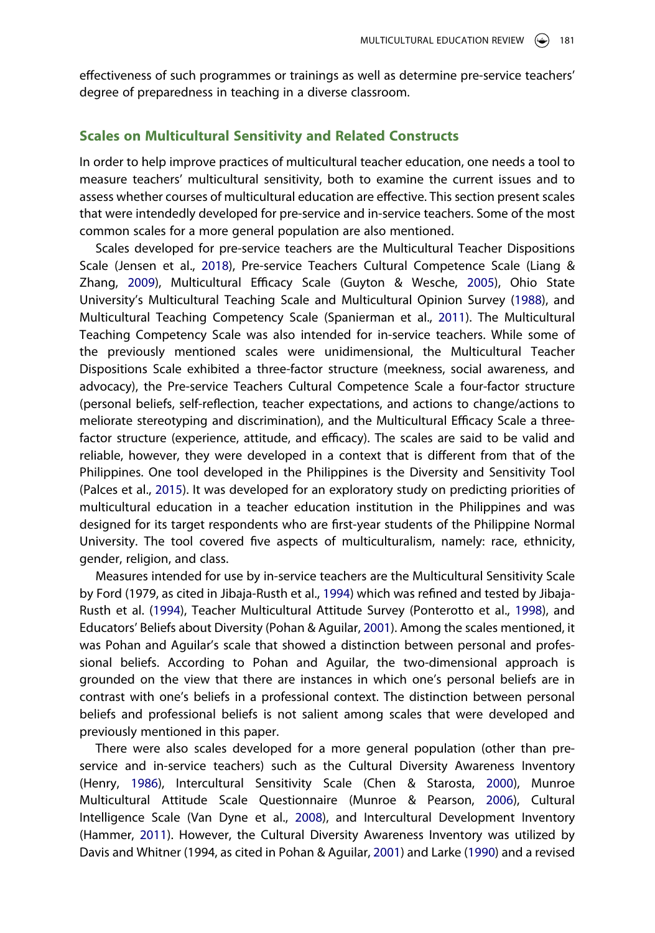effectiveness of such programmes or trainings as well as determine pre-service teachers' degree of preparedness in teaching in a diverse classroom.

### **Scales on Multicultural Sensitivity and Related Constructs**

In order to help improve practices of multicultural teacher education, one needs a tool to measure teachers' multicultural sensitivity, both to examine the current issues and to assess whether courses of multicultural education are effective. This section present scales that were intendedly developed for pre-service and in-service teachers. Some of the most common scales for a more general population are also mentioned.

<span id="page-5-5"></span><span id="page-5-1"></span>Scales developed for pre-service teachers are the Multicultural Teacher Dispositions Scale (Jensen et al., [2018](#page-15-3)), Pre-service Teachers Cultural Competence Scale (Liang & Zhang, [2009\)](#page-15-11), Multicultural Efficacy Scale (Guyton & Wesche, [2005](#page-15-13)), Ohio State University's Multicultural Teaching Scale and Multicultural Opinion Survey ([1988](#page-16-9)), and Multicultural Teaching Competency Scale (Spanierman et al., [2011\)](#page-17-9). The Multicultural Teaching Competency Scale was also intended for in-service teachers. While some of the previously mentioned scales were unidimensional, the Multicultural Teacher Dispositions Scale exhibited a three-factor structure (meekness, social awareness, and advocacy), the Pre-service Teachers Cultural Competence Scale a four-factor structure (personal beliefs, self-reflection, teacher expectations, and actions to change/actions to meliorate stereotyping and discrimination), and the Multicultural Efficacy Scale a threefactor structure (experience, attitude, and efficacy). The scales are said to be valid and reliable, however, they were developed in a context that is different from that of the Philippines. One tool developed in the Philippines is the Diversity and Sensitivity Tool (Palces et al., [2015](#page-16-4)). It was developed for an exploratory study on predicting priorities of multicultural education in a teacher education institution in the Philippines and was designed for its target respondents who are first-year students of the Philippine Normal University. The tool covered five aspects of multiculturalism, namely: race, ethnicity, gender, religion, and class.

<span id="page-5-6"></span>Measures intended for use by in-service teachers are the Multicultural Sensitivity Scale by Ford (1979, as cited in Jibaja-Rusth et al., [1994\)](#page-15-7) which was refined and tested by Jibaja-Rusth et al. [\(1994\)](#page-15-7), Teacher Multicultural Attitude Survey (Ponterotto et al., [1998\)](#page-16-10), and Educators' Beliefs about Diversity (Pohan & Aguilar, [2001](#page-16-11)). Among the scales mentioned, it was Pohan and Aguilar's scale that showed a distinction between personal and professional beliefs. According to Pohan and Aguilar, the two-dimensional approach is grounded on the view that there are instances in which one's personal beliefs are in contrast with one's beliefs in a professional context. The distinction between personal beliefs and professional beliefs is not salient among scales that were developed and previously mentioned in this paper.

<span id="page-5-7"></span><span id="page-5-4"></span><span id="page-5-3"></span><span id="page-5-2"></span><span id="page-5-0"></span>There were also scales developed for a more general population (other than preservice and in-service teachers) such as the Cultural Diversity Awareness Inventory (Henry, [1986](#page-15-14)), Intercultural Sensitivity Scale (Chen & Starosta, [2000\)](#page-14-12), Munroe Multicultural Attitude Scale Questionnaire (Munroe & Pearson, [2006\)](#page-16-12), Cultural Intelligence Scale (Van Dyne et al., [2008\)](#page-17-12), and Intercultural Development Inventory (Hammer, [2011\)](#page-15-15). However, the Cultural Diversity Awareness Inventory was utilized by Davis and Whitner (1994, as cited in Pohan & Aguilar, [2001\)](#page-16-11) and Larke ([1990](#page-15-16)) and a revised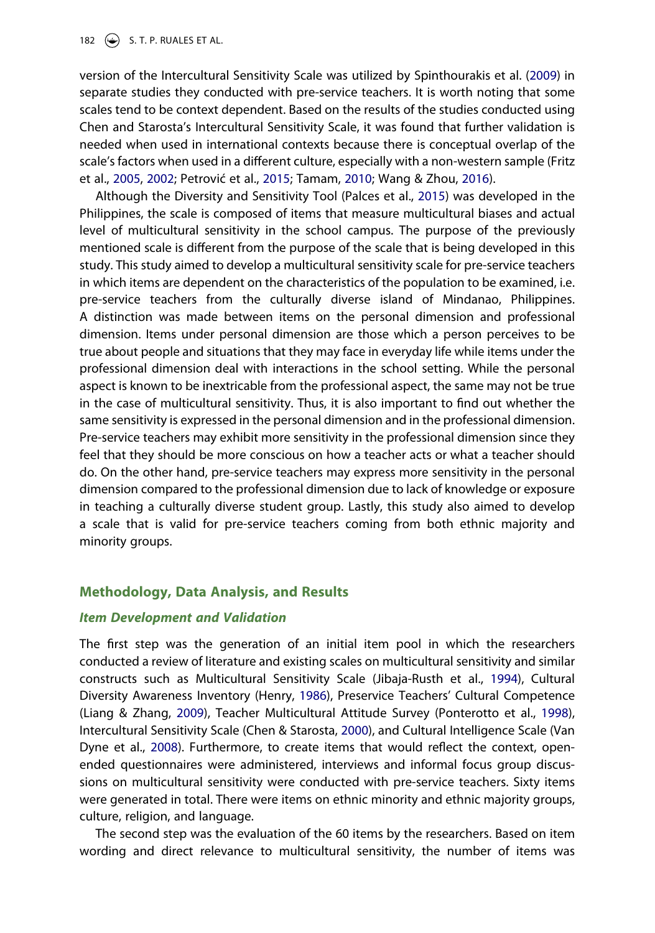182  $\left(\rightarrow\right)$  S. T. P. RUALES ET AL.

<span id="page-6-1"></span>version of the Intercultural Sensitivity Scale was utilized by Spinthourakis et al. ([2009](#page-17-13)) in separate studies they conducted with pre-service teachers. It is worth noting that some scales tend to be context dependent. Based on the results of the studies conducted using Chen and Starosta's Intercultural Sensitivity Scale, it was found that further validation is needed when used in international contexts because there is conceptual overlap of the scale's factors when used in a different culture, especially with a non-western sample (Fritz et al., [2005,](#page-14-13) [2002](#page-14-14); Petrović et al., [2015;](#page-16-13) Tamam, [2010](#page-17-14); Wang & Zhou, [2016\)](#page-18-4).

<span id="page-6-0"></span>Although the Diversity and Sensitivity Tool (Palces et al., [2015](#page-16-4)) was developed in the Philippines, the scale is composed of items that measure multicultural biases and actual level of multicultural sensitivity in the school campus. The purpose of the previously mentioned scale is different from the purpose of the scale that is being developed in this study. This study aimed to develop a multicultural sensitivity scale for pre-service teachers in which items are dependent on the characteristics of the population to be examined, i.e. pre-service teachers from the culturally diverse island of Mindanao, Philippines. A distinction was made between items on the personal dimension and professional dimension. Items under personal dimension are those which a person perceives to be true about people and situations that they may face in everyday life while items under the professional dimension deal with interactions in the school setting. While the personal aspect is known to be inextricable from the professional aspect, the same may not be true in the case of multicultural sensitivity. Thus, it is also important to find out whether the same sensitivity is expressed in the personal dimension and in the professional dimension. Pre-service teachers may exhibit more sensitivity in the professional dimension since they feel that they should be more conscious on how a teacher acts or what a teacher should do. On the other hand, pre-service teachers may express more sensitivity in the personal dimension compared to the professional dimension due to lack of knowledge or exposure in teaching a culturally diverse student group. Lastly, this study also aimed to develop a scale that is valid for pre-service teachers coming from both ethnic majority and minority groups.

### **Methodology, Data Analysis, and Results**

### *Item Development and Validation*

The first step was the generation of an initial item pool in which the researchers conducted a review of literature and existing scales on multicultural sensitivity and similar constructs such as Multicultural Sensitivity Scale (Jibaja-Rusth et al., [1994](#page-15-7)), Cultural Diversity Awareness Inventory (Henry, [1986](#page-15-14)), Preservice Teachers' Cultural Competence (Liang & Zhang, [2009\)](#page-15-11), Teacher Multicultural Attitude Survey (Ponterotto et al., [1998](#page-16-10)), Intercultural Sensitivity Scale (Chen & Starosta, [2000\)](#page-14-12), and Cultural Intelligence Scale (Van Dyne et al., [2008\)](#page-17-12). Furthermore, to create items that would reflect the context, openended questionnaires were administered, interviews and informal focus group discussions on multicultural sensitivity were conducted with pre-service teachers. Sixty items were generated in total. There were items on ethnic minority and ethnic majority groups, culture, religion, and language.

The second step was the evaluation of the 60 items by the researchers. Based on item wording and direct relevance to multicultural sensitivity, the number of items was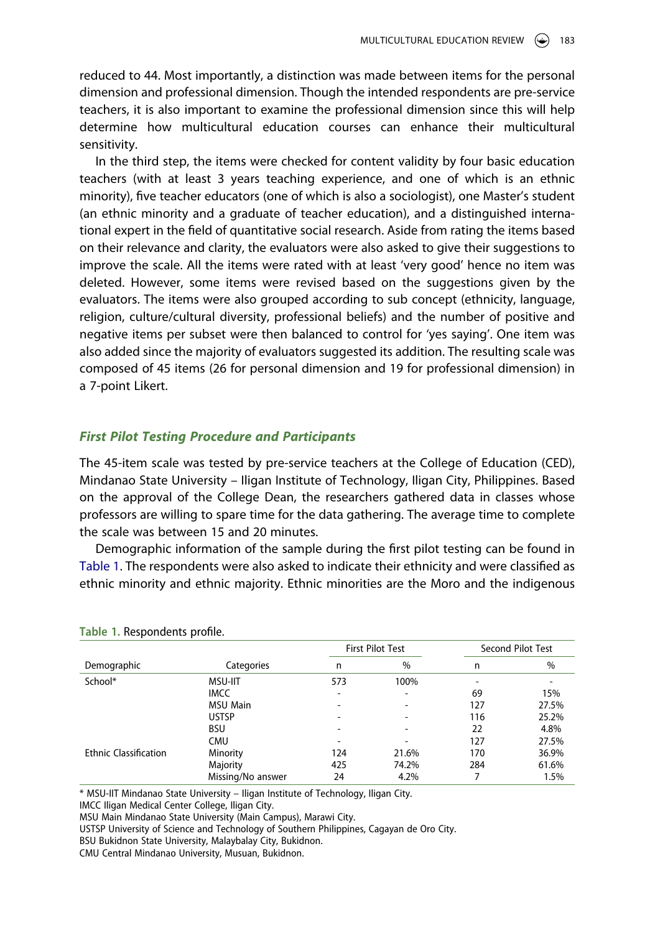reduced to 44. Most importantly, a distinction was made between items for the personal dimension and professional dimension. Though the intended respondents are pre-service teachers, it is also important to examine the professional dimension since this will help determine how multicultural education courses can enhance their multicultural sensitivity.

In the third step, the items were checked for content validity by four basic education teachers (with at least 3 years teaching experience, and one of which is an ethnic minority), five teacher educators (one of which is also a sociologist), one Master's student (an ethnic minority and a graduate of teacher education), and a distinguished international expert in the field of quantitative social research. Aside from rating the items based on their relevance and clarity, the evaluators were also asked to give their suggestions to improve the scale. All the items were rated with at least 'very good' hence no item was deleted. However, some items were revised based on the suggestions given by the evaluators. The items were also grouped according to sub concept (ethnicity, language, religion, culture/cultural diversity, professional beliefs) and the number of positive and negative items per subset were then balanced to control for 'yes saying'. One item was also added since the majority of evaluators suggested its addition. The resulting scale was composed of 45 items (26 for personal dimension and 19 for professional dimension) in a 7-point Likert.

### *First Pilot Testing Procedure and Participants*

The 45-item scale was tested by pre-service teachers at the College of Education (CED), Mindanao State University – Iligan Institute of Technology, Iligan City, Philippines. Based on the approval of the College Dean, the researchers gathered data in classes whose professors are willing to spare time for the data gathering. The average time to complete the scale was between 15 and 20 minutes.

Demographic information of the sample during the first pilot testing can be found in [Table 1](#page-7-0). The respondents were also asked to indicate their ethnicity and were classified as ethnic minority and ethnic majority. Ethnic minorities are the Moro and the indigenous

|                              |                   | <b>First Pilot Test</b> |       | Second Pilot Test |       |
|------------------------------|-------------------|-------------------------|-------|-------------------|-------|
| Demographic                  | Categories        | n                       | %     | n                 | %     |
| School*                      | <b>MSU-IIT</b>    | 573                     | 100%  |                   |       |
|                              | <b>IMCC</b>       |                         |       | 69                | 15%   |
|                              | <b>MSU Main</b>   |                         |       | 127               | 27.5% |
|                              | <b>USTSP</b>      |                         |       | 116               | 25.2% |
|                              | <b>BSU</b>        |                         |       | 22                | 4.8%  |
|                              | <b>CMU</b>        |                         |       | 127               | 27.5% |
| <b>Ethnic Classification</b> | Minority          | 124                     | 21.6% | 170               | 36.9% |
|                              | Majority          | 425                     | 74.2% | 284               | 61.6% |
|                              | Missing/No answer | 24                      | 4.2%  |                   | 1.5%  |

#### <span id="page-7-0"></span>**Table 1.** Respondents profile.

\* MSU-IIT Mindanao State University – Iligan Institute of Technology, Iligan City.

IMCC Iligan Medical Center College, Iligan City.

MSU Main Mindanao State University (Main Campus), Marawi City.

USTSP University of Science and Technology of Southern Philippines, Cagayan de Oro City.

BSU Bukidnon State University, Malaybalay City, Bukidnon.

CMU Central Mindanao University, Musuan, Bukidnon.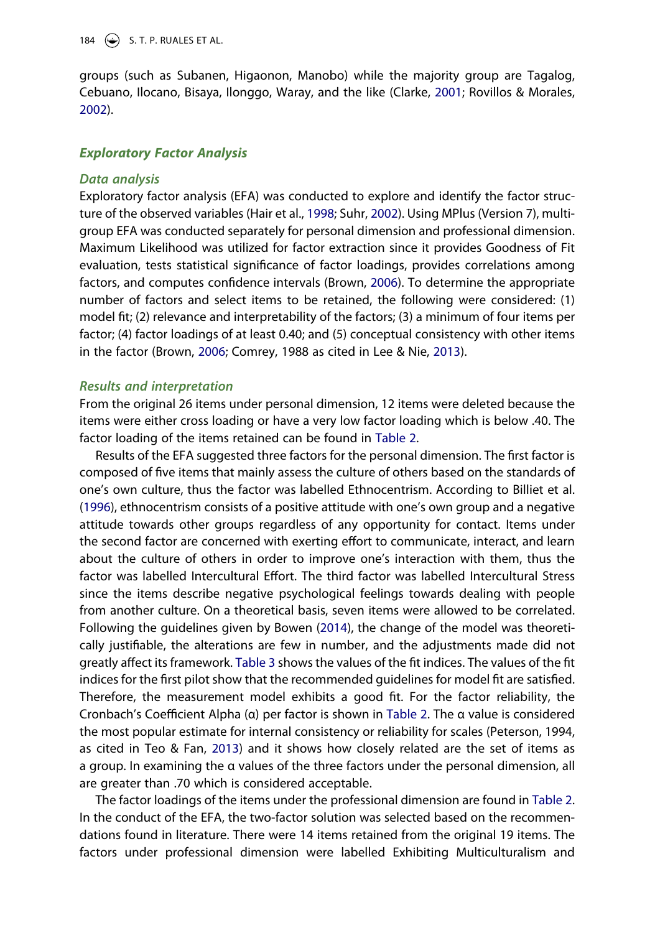184  $\left(\rightarrow\right)$  S. T. P. RUALES ET AL.

<span id="page-8-3"></span>groups (such as Subanen, Higaonon, Manobo) while the majority group are Tagalog, Cebuano, Ilocano, Bisaya, Ilonggo, Waray, and the like (Clarke, [2001](#page-14-15); Rovillos & Morales, [2002\)](#page-17-15).

### *Exploratory Factor Analysis*

### *Data analysis*

<span id="page-8-4"></span>Exploratory factor analysis (EFA) was conducted to explore and identify the factor structure of the observed variables (Hair et al., [1998;](#page-15-17) Suhr, [2002\)](#page-17-16). Using MPlus (Version 7), multigroup EFA was conducted separately for personal dimension and professional dimension. Maximum Likelihood was utilized for factor extraction since it provides Goodness of Fit evaluation, tests statistical significance of factor loadings, provides correlations among factors, and computes confidence intervals (Brown, [2006\)](#page-14-16). To determine the appropriate number of factors and select items to be retained, the following were considered: (1) model fit; (2) relevance and interpretability of the factors; (3) a minimum of four items per factor; (4) factor loadings of at least 0.40; and (5) conceptual consistency with other items in the factor (Brown, [2006;](#page-14-16) Comrey, 1988 as cited in Lee & Nie, [2013](#page-15-18)).

### <span id="page-8-2"></span>*Results and interpretation*

From the original 26 items under personal dimension, 12 items were deleted because the items were either cross loading or have a very low factor loading which is below .40. The factor loading of the items retained can be found in [Table 2.](#page-9-0)

<span id="page-8-1"></span><span id="page-8-0"></span>Results of the EFA suggested three factors for the personal dimension. The first factor is composed of five items that mainly assess the culture of others based on the standards of one's own culture, thus the factor was labelled Ethnocentrism. According to Billiet et al. ([1996](#page-14-17)), ethnocentrism consists of a positive attitude with one's own group and a negative attitude towards other groups regardless of any opportunity for contact. Items under the second factor are concerned with exerting effort to communicate, interact, and learn about the culture of others in order to improve one's interaction with them, thus the factor was labelled Intercultural Effort. The third factor was labelled Intercultural Stress since the items describe negative psychological feelings towards dealing with people from another culture. On a theoretical basis, seven items were allowed to be correlated. Following the guidelines given by Bowen [\(2014\)](#page-14-18), the change of the model was theoretically justifiable, the alterations are few in number, and the adjustments made did not greatly affect its framework. [Table 3](#page-10-0) shows the values of the fit indices. The values of the fit indices for the first pilot show that the recommended guidelines for model fit are satisfied. Therefore, the measurement model exhibits a good fit. For the factor reliability, the Cronbach's Coefficient Alpha (α) per factor is shown in [Table 2.](#page-9-0) The α value is considered the most popular estimate for internal consistency or reliability for scales (Peterson, 1994, as cited in Teo & Fan, [2013](#page-17-17)) and it shows how closely related are the set of items as a group. In examining the α values of the three factors under the personal dimension, all are greater than .70 which is considered acceptable.

<span id="page-8-5"></span>The factor loadings of the items under the professional dimension are found in [Table 2](#page-9-0). In the conduct of the EFA, the two-factor solution was selected based on the recommendations found in literature. There were 14 items retained from the original 19 items. The factors under professional dimension were labelled Exhibiting Multiculturalism and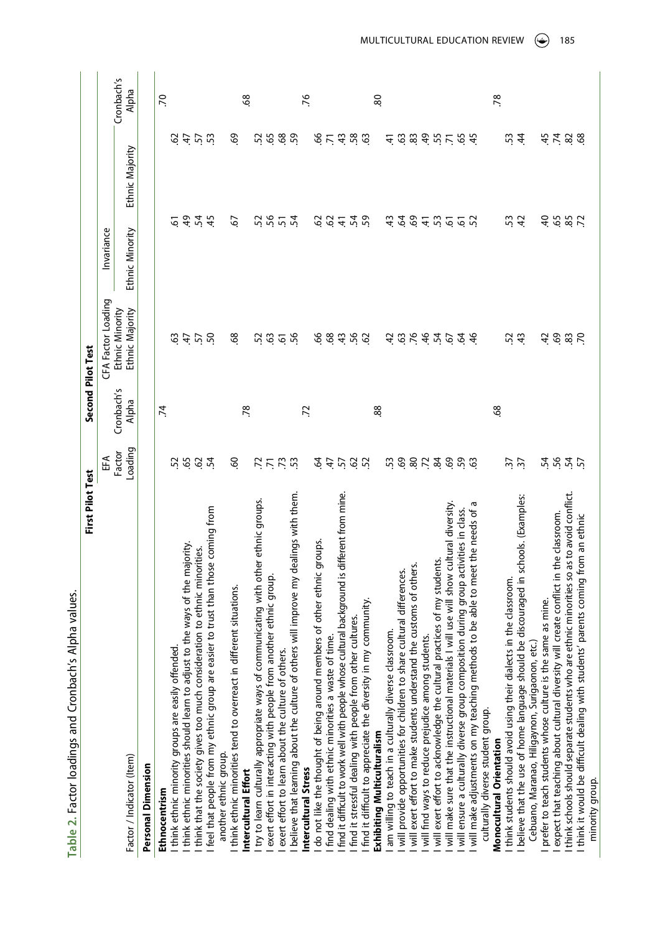<span id="page-9-0"></span>

| Alpha values.<br>$\tilde{\mathbf{r}}$<br>Table 2. Factor loadings and Cronbach                                                                                                  |                                         |                     |                                    |                                 |                                           |                     |
|---------------------------------------------------------------------------------------------------------------------------------------------------------------------------------|-----------------------------------------|---------------------|------------------------------------|---------------------------------|-------------------------------------------|---------------------|
| <b>First Pilot Test</b>                                                                                                                                                         |                                         |                     | Second Pilot Test                  |                                 |                                           |                     |
|                                                                                                                                                                                 | ŒA                                      |                     | CFA Factor Loading                 | Invariance                      |                                           |                     |
| Factor / Indicator (Item)                                                                                                                                                       | Loading<br>Factor                       | Cronbach's<br>Alpha | Ethnic Minority<br>Ethnic Majority | Ethnic Minority                 | Ethnic Majority                           | Cronbach's<br>Alpha |
| <b>Personal Dimension</b>                                                                                                                                                       |                                         |                     |                                    |                                 |                                           |                     |
| Ethnocentrism                                                                                                                                                                   |                                         | $\overline{7}$      |                                    |                                 |                                           | $\overline{2}$      |
| I think ethnic minority groups are easily offended.                                                                                                                             | S,                                      |                     | ය                                  | ত                               | 3                                         |                     |
| think ethnic minorities should learn to adjust to the ways of the majority.                                                                                                     |                                         |                     |                                    |                                 |                                           |                     |
| think that the society gives too much consideration to ethnic minorities.                                                                                                       | <b>SS4</b>                              |                     | 47                                 | 9.74                            | زن زخ خ                                   |                     |
| feel that people from my ethnic group are easier to trust than those coming from<br>another ethnic group.                                                                       |                                         |                     | 50                                 |                                 |                                           |                     |
| think ethnic minorities tend to overreact in different situations.<br>Intercultural Effort                                                                                      | S.                                      | 78.                 | $\frac{8}{3}$                      | $\mathcal{Q}$                   | $\mathcal{S}^{\circ}$                     | $\frac{8}{3}$       |
| try to learn culturally appropriate ways of communicating with other ethnic groups.                                                                                             |                                         |                     | 52                                 |                                 | r.                                        |                     |
| exert effort in interacting with people from another ethnic group.                                                                                                              |                                         |                     | $\mathcal{L}$                      |                                 | 65                                        |                     |
| exert effort to learn about the culture of others.                                                                                                                              | $\ddot{z}$ is $\ddot{z}$                |                     |                                    |                                 |                                           |                     |
| believe that learning about the culture of others will improve my dealings with them.                                                                                           |                                         |                     | $-56$                              |                                 | 68.59                                     |                     |
| Intercultural Stress                                                                                                                                                            |                                         | 72                  |                                    |                                 |                                           | .76                 |
| do not like the thought of being around members of other ethnic groups.                                                                                                         | $\hat{q}$ $\dot{\sigma}$ $\dot{\sigma}$ |                     | 99.                                |                                 | $-58$                                     |                     |
| find dealing with ethnic minorities a waste of time.                                                                                                                            |                                         |                     | 68                                 |                                 |                                           |                     |
| find it difficult to work well with people whose cultural background is different from mine.                                                                                    |                                         |                     | $\ddot{4}$                         | <b>GGEZS</b>                    | 43                                        |                     |
| find it stressful dealing with people from other cultures.                                                                                                                      | 62.5                                    |                     | 56                                 |                                 | 58                                        |                     |
| my community.<br>find it difficult to appreciate the diversity in                                                                                                               |                                         |                     |                                    |                                 |                                           |                     |
| Exhibiting Multiculturalism                                                                                                                                                     |                                         | 88                  |                                    |                                 |                                           | 80                  |
| am willing to teach in a culturally diverse classroom.                                                                                                                          |                                         |                     | 4.68                               | $\ddot{4}$                      | $\pm$ $\ddot{\circ}$ $\ddot{\circ}$       |                     |
| will provide opportunities for children to share cultural differences.                                                                                                          |                                         |                     |                                    | $\dot{q}$ $\ddot{\theta}$       |                                           |                     |
| will exert effort to make students understand the customs of others.                                                                                                            |                                         |                     |                                    |                                 |                                           |                     |
| will find ways to reduce prejudice among students.                                                                                                                              |                                         |                     |                                    |                                 |                                           |                     |
| will exert effort to acknowledge the cultural practices of my students.                                                                                                         |                                         |                     | 64.25                              | $\pm$ $\ddot{\omega}$ $\approx$ | $\frac{1}{2}$ $\frac{1}{2}$ $\frac{1}{2}$ |                     |
| will make sure that the instructional materials I will use will show cultural diversity<br>will ensure a culturally diverse group composition during group activities in class. | mes sizes se                            |                     |                                    |                                 |                                           |                     |
| Б<br>I will make adjustments on my teaching methods to be able to meet the needs of                                                                                             |                                         |                     | 24.5                               | $6\overline{)}$                 | 6,45                                      |                     |
| culturally diverse student group.                                                                                                                                               |                                         |                     |                                    |                                 |                                           |                     |
| Monocultural Orientation                                                                                                                                                        |                                         | 68                  |                                    |                                 |                                           | .78                 |
| I think students should avoid using their dialects in the classroom.                                                                                                            |                                         |                     | 52                                 | £S                              | 53                                        |                     |
| believe that the use of home language should be discouraged in schools. (Examples:                                                                                              | $\frac{1}{2}$                           |                     | 43                                 | 42                              | $\dot{4}$                                 |                     |
| Cebuano, Maranao, Hiligaynon, Surigaonon, etc.)                                                                                                                                 |                                         |                     |                                    |                                 |                                           |                     |
| prefer to teach students whose culture is the same as mine.                                                                                                                     |                                         |                     | 42                                 | ਤੰ                              |                                           |                     |
| expect that teaching about cultural diversity will create conflict in the classroom.                                                                                            |                                         |                     | $69$                               | 59                              |                                           |                     |
| think schools should separate students who are ethnic minorities so as to avoid conflict.                                                                                       | <u>ដូ ក្លង់ ប្</u>                      |                     | $\frac{83}{70}$                    | $\frac{85}{72}$                 | $\ddot{a}$ is $\ddot{a}$ is $\ddot{a}$    |                     |
| I think it would be difficult dealing with students' parents coming from an ethnic<br>minority group.                                                                           |                                         |                     |                                    |                                 |                                           |                     |

MULTICULTURAL EDUCATION REVIEW  $\bigcirc$  185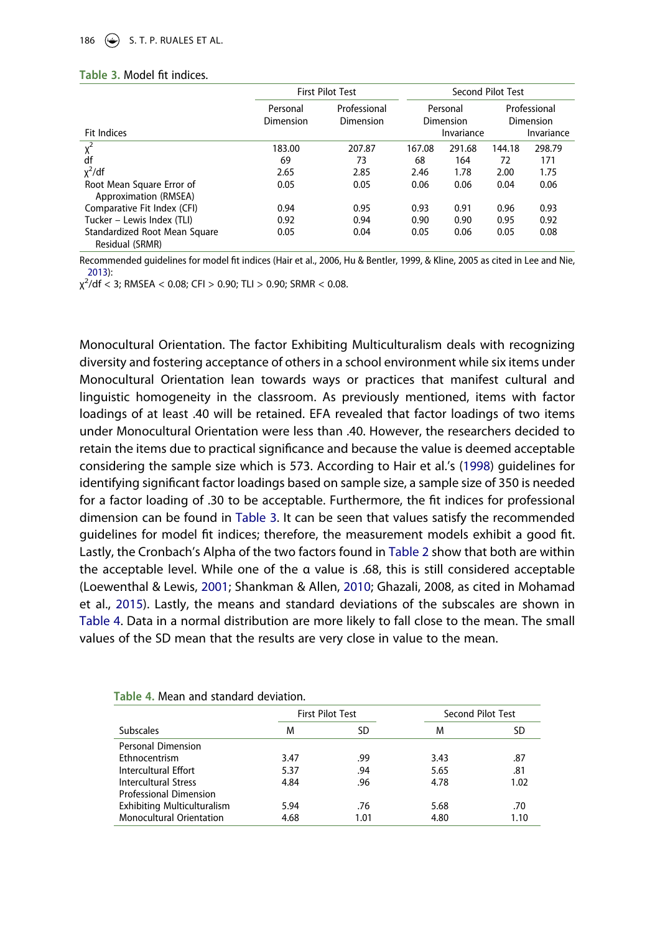### 186  $\left(\frac{\sqrt{2}}{2}\right)$  S. T. P. RUALES ET AL.

#### <span id="page-10-0"></span>**Table 3.** Model fit indices.

|                                                    | <b>First Pilot Test</b> |                           | <b>Second Pilot Test</b> |                                     |        |                                         |
|----------------------------------------------------|-------------------------|---------------------------|--------------------------|-------------------------------------|--------|-----------------------------------------|
| Fit Indices                                        | Personal<br>Dimension   | Professional<br>Dimension |                          | Personal<br>Dimension<br>Invariance |        | Professional<br>Dimension<br>Invariance |
| $x^2$                                              | 183.00                  | 207.87                    | 167.08                   | 291.68                              | 144.18 | 298.79                                  |
| df                                                 | 69                      | 73                        | 68                       | 164                                 | 72     | 171                                     |
| $x^2$ /df                                          | 2.65                    | 2.85                      | 2.46                     | 1.78                                | 2.00   | 1.75                                    |
| Root Mean Square Error of<br>Approximation (RMSEA) | 0.05                    | 0.05                      | 0.06                     | 0.06                                | 0.04   | 0.06                                    |
| Comparative Fit Index (CFI)                        | 0.94                    | 0.95                      | 0.93                     | 0.91                                | 0.96   | 0.93                                    |
| Tucker - Lewis Index (TLI)                         | 0.92                    | 0.94                      | 0.90                     | 0.90                                | 0.95   | 0.92                                    |
| Standardized Root Mean Square<br>Residual (SRMR)   | 0.05                    | 0.04                      | 0.05                     | 0.06                                | 0.05   | 0.08                                    |

Recommended guidelines for model fit indices (Hair et al., 2006, Hu & Bentler, 1999, & Kline, 2005 as cited in Lee and Nie, [2013](#page-15-18)):

 $\chi^2$ /df < 3; RMSEA < 0.08; CFI > 0.90; TLI > 0.90; SRMR < 0.08.

Monocultural Orientation. The factor Exhibiting Multiculturalism deals with recognizing diversity and fostering acceptance of others in a school environment while six items under Monocultural Orientation lean towards ways or practices that manifest cultural and linguistic homogeneity in the classroom. As previously mentioned, items with factor loadings of at least .40 will be retained. EFA revealed that factor loadings of two items under Monocultural Orientation were less than .40. However, the researchers decided to retain the items due to practical significance and because the value is deemed acceptable considering the sample size which is 573. According to Hair et al.'s ([1998](#page-15-17)) guidelines for identifying significant factor loadings based on sample size, a sample size of 350 is needed for a factor loading of .30 to be acceptable. Furthermore, the fit indices for professional dimension can be found in [Table 3.](#page-10-0) It can be seen that values satisfy the recommended guidelines for model fit indices; therefore, the measurement models exhibit a good fit. Lastly, the Cronbach's Alpha of the two factors found in [Table 2](#page-9-0) show that both are within the acceptable level. While one of the α value is .68, this is still considered acceptable (Loewenthal & Lewis, [2001](#page-15-18); Shankman & Allen, [2010](#page-17-18); Ghazali, 2008, as cited in Mohamad et al., [2015\)](#page-16-14). Lastly, the means and standard deviations of the subscales are shown in [Table 4.](#page-10-1) Data in a normal distribution are more likely to fall close to the mean. The small values of the SD mean that the results are very close in value to the mean.

|                                    | <b>First Pilot Test</b> |      |      | Second Pilot Test |
|------------------------------------|-------------------------|------|------|-------------------|
| <b>Subscales</b>                   | M                       | SD   | M    |                   |
| <b>Personal Dimension</b>          |                         |      |      |                   |
| Ethnocentrism                      | 3.47                    | .99  | 3.43 | .87               |
| Intercultural Effort               | 5.37                    | .94  | 5.65 | .81               |
| Intercultural Stress               | 4.84                    | .96  | 4.78 | 1.02              |
| <b>Professional Dimension</b>      |                         |      |      |                   |
| <b>Exhibiting Multiculturalism</b> | 5.94                    | .76  | 5.68 | .70               |
| <b>Monocultural Orientation</b>    | 4.68                    | 1.01 | 4.80 | 1.10              |

<span id="page-10-3"></span><span id="page-10-2"></span><span id="page-10-1"></span>**Table 4.** Mean and standard deviation.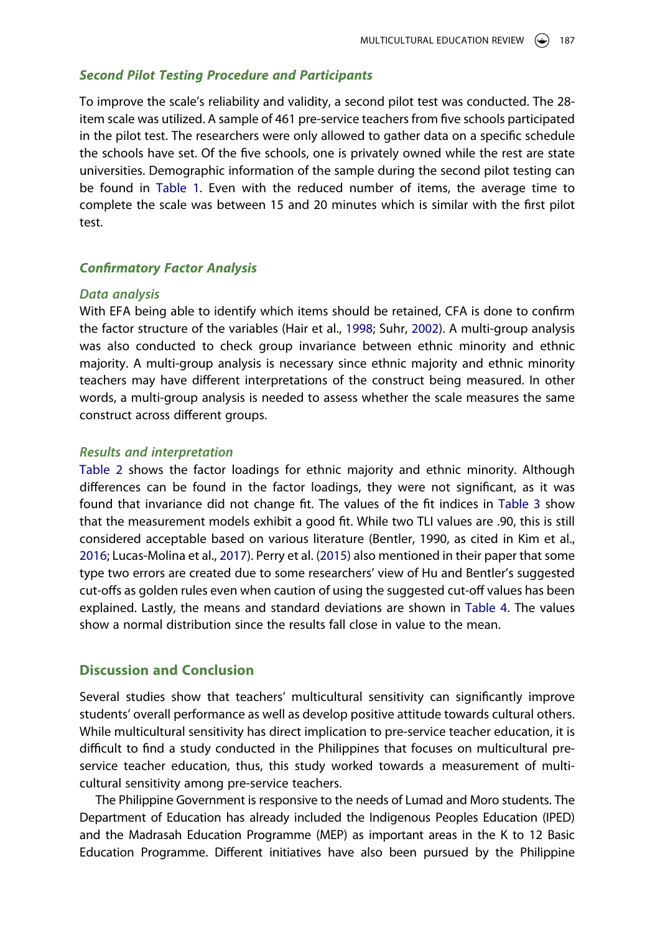### *Second Pilot Testing Procedure and Participants*

To improve the scale's reliability and validity, a second pilot test was conducted. The 28 item scale was utilized. A sample of 461 pre-service teachers from five schools participated in the pilot test. The researchers were only allowed to gather data on a specific schedule the schools have set. Of the five schools, one is privately owned while the rest are state universities. Demographic information of the sample during the second pilot testing can be found in [Table 1](#page-7-0). Even with the reduced number of items, the average time to complete the scale was between 15 and 20 minutes which is similar with the first pilot test.

### *Confirmatory Factor Analysis*

### *Data analysis*

With EFA being able to identify which items should be retained, CFA is done to confirm the factor structure of the variables (Hair et al., [1998;](#page-15-17) Suhr, [2002\)](#page-17-16). A multi-group analysis was also conducted to check group invariance between ethnic minority and ethnic majority. A multi-group analysis is necessary since ethnic majority and ethnic minority teachers may have different interpretations of the construct being measured. In other words, a multi-group analysis is needed to assess whether the scale measures the same construct across different groups.

### *Results and interpretation*

<span id="page-11-1"></span><span id="page-11-0"></span>[Table 2](#page-9-0) shows the factor loadings for ethnic majority and ethnic minority. Although differences can be found in the factor loadings, they were not significant, as it was found that invariance did not change fit. The values of the fit indices in [Table 3](#page-10-0) show that the measurement models exhibit a good fit. While two TLI values are .90, this is still considered acceptable based on various literature (Bentler, 1990, as cited in Kim et al., [2016;](#page-15-19) Lucas-Molina et al., [2017](#page-15-11)). Perry et al. [\(2015\)](#page-16-15) also mentioned in their paper that some type two errors are created due to some researchers' view of Hu and Bentler's suggested cut-offs as golden rules even when caution of using the suggested cut-off values has been explained. Lastly, the means and standard deviations are shown in [Table 4](#page-10-1). The values show a normal distribution since the results fall close in value to the mean.

### **Discussion and Conclusion**

Several studies show that teachers' multicultural sensitivity can significantly improve students' overall performance as well as develop positive attitude towards cultural others. While multicultural sensitivity has direct implication to pre-service teacher education, it is difficult to find a study conducted in the Philippines that focuses on multicultural preservice teacher education, thus, this study worked towards a measurement of multicultural sensitivity among pre-service teachers.

The Philippine Government is responsive to the needs of Lumad and Moro students. The Department of Education has already included the Indigenous Peoples Education (IPED) and the Madrasah Education Programme (MEP) as important areas in the K to 12 Basic Education Programme. Different initiatives have also been pursued by the Philippine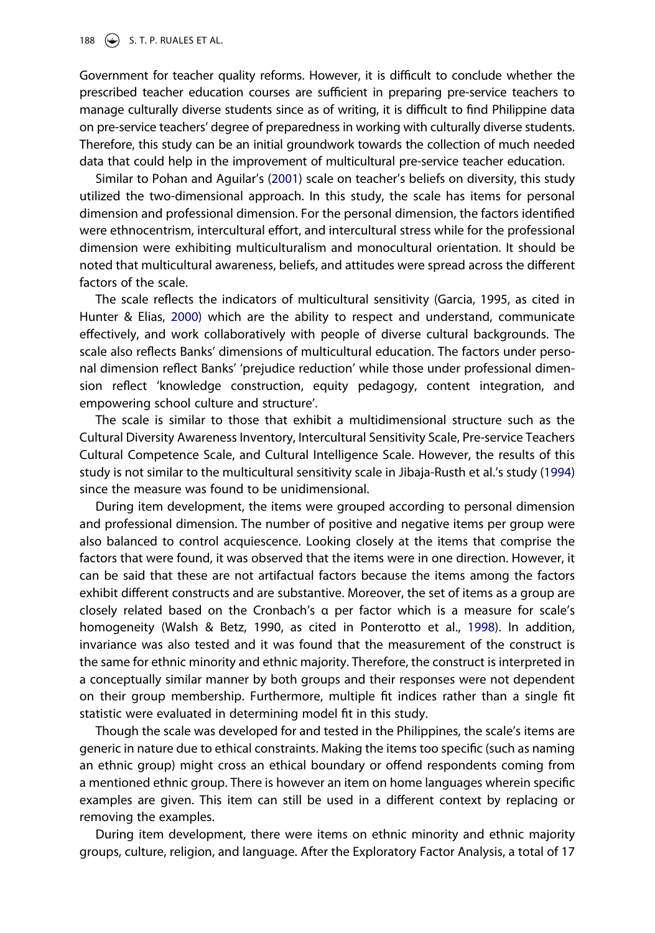Government for teacher quality reforms. However, it is difficult to conclude whether the prescribed teacher education courses are sufficient in preparing pre-service teachers to manage culturally diverse students since as of writing, it is difficult to find Philippine data on pre-service teachers' degree of preparedness in working with culturally diverse students. Therefore, this study can be an initial groundwork towards the collection of much needed data that could help in the improvement of multicultural pre-service teacher education.

Similar to Pohan and Aguilar's ([2001](#page-16-11)) scale on teacher's beliefs on diversity, this study utilized the two-dimensional approach. In this study, the scale has items for personal dimension and professional dimension. For the personal dimension, the factors identified were ethnocentrism, intercultural effort, and intercultural stress while for the professional dimension were exhibiting multiculturalism and monocultural orientation. It should be noted that multicultural awareness, beliefs, and attitudes were spread across the different factors of the scale.

The scale reflects the indicators of multicultural sensitivity (Garcia, 1995, as cited in Hunter & Elias, [2000](#page-15-8)) which are the ability to respect and understand, communicate effectively, and work collaboratively with people of diverse cultural backgrounds. The scale also reflects Banks' dimensions of multicultural education. The factors under personal dimension reflect Banks' 'prejudice reduction' while those under professional dimension reflect 'knowledge construction, equity pedagogy, content integration, and empowering school culture and structure'.

The scale is similar to those that exhibit a multidimensional structure such as the Cultural Diversity Awareness Inventory, Intercultural Sensitivity Scale, Pre-service Teachers Cultural Competence Scale, and Cultural Intelligence Scale. However, the results of this study is not similar to the multicultural sensitivity scale in Jibaja-Rusth et al.'s study ([1994](#page-15-7)) since the measure was found to be unidimensional.

During item development, the items were grouped according to personal dimension and professional dimension. The number of positive and negative items per group were also balanced to control acquiescence. Looking closely at the items that comprise the factors that were found, it was observed that the items were in one direction. However, it can be said that these are not artifactual factors because the items among the factors exhibit different constructs and are substantive. Moreover, the set of items as a group are closely related based on the Cronbach's α per factor which is a measure for scale's homogeneity (Walsh & Betz, 1990, as cited in Ponterotto et al., [1998\)](#page-16-10). In addition, invariance was also tested and it was found that the measurement of the construct is the same for ethnic minority and ethnic majority. Therefore, the construct is interpreted in a conceptually similar manner by both groups and their responses were not dependent on their group membership. Furthermore, multiple fit indices rather than a single fit statistic were evaluated in determining model fit in this study.

Though the scale was developed for and tested in the Philippines, the scale's items are generic in nature due to ethical constraints. Making the items too specific (such as naming an ethnic group) might cross an ethical boundary or offend respondents coming from a mentioned ethnic group. There is however an item on home languages wherein specific examples are given. This item can still be used in a different context by replacing or removing the examples.

During item development, there were items on ethnic minority and ethnic majority groups, culture, religion, and language. After the Exploratory Factor Analysis, a total of 17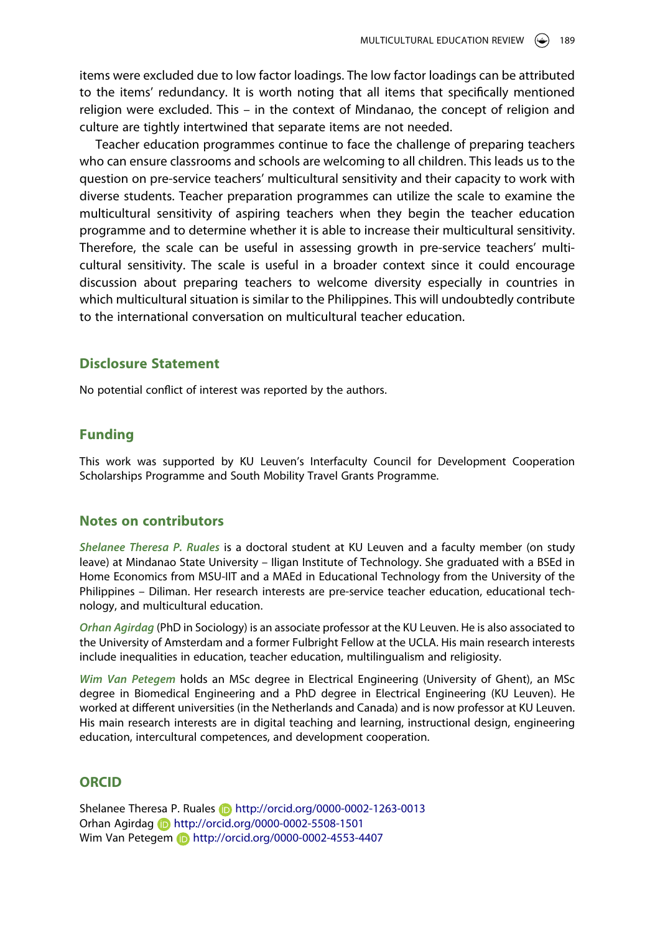items were excluded due to low factor loadings. The low factor loadings can be attributed to the items' redundancy. It is worth noting that all items that specifically mentioned religion were excluded. This – in the context of Mindanao, the concept of religion and culture are tightly intertwined that separate items are not needed.

Teacher education programmes continue to face the challenge of preparing teachers who can ensure classrooms and schools are welcoming to all children. This leads us to the question on pre-service teachers' multicultural sensitivity and their capacity to work with diverse students. Teacher preparation programmes can utilize the scale to examine the multicultural sensitivity of aspiring teachers when they begin the teacher education programme and to determine whether it is able to increase their multicultural sensitivity. Therefore, the scale can be useful in assessing growth in pre-service teachers' multicultural sensitivity. The scale is useful in a broader context since it could encourage discussion about preparing teachers to welcome diversity especially in countries in which multicultural situation is similar to the Philippines. This will undoubtedly contribute to the international conversation on multicultural teacher education.

### **Disclosure Statement**

No potential conflict of interest was reported by the authors.

### **Funding**

This work was supported by KU Leuven's Interfaculty Council for Development Cooperation Scholarships Programme and South Mobility Travel Grants Programme.

### **Notes on contributors**

*Shelanee Theresa P. Ruales* is a doctoral student at KU Leuven and a faculty member (on study leave) at Mindanao State University – Iligan Institute of Technology. She graduated with a BSEd in Home Economics from MSU-IIT and a MAEd in Educational Technology from the University of the Philippines – Diliman. Her research interests are pre-service teacher education, educational technology, and multicultural education.

*Orhan Agirdag* (PhD in Sociology) is an associate professor at the KU Leuven. He is also associated to the University of Amsterdam and a former Fulbright Fellow at the UCLA. His main research interests include inequalities in education, teacher education, multilingualism and religiosity.

*Wim Van Petegem* holds an MSc degree in Electrical Engineering (University of Ghent), an MSc degree in Biomedical Engineering and a PhD degree in Electrical Engineering (KU Leuven). He worked at different universities (in the Netherlands and Canada) and is now professor at KU Leuven. His main research interests are in digital teaching and learning, instructional design, engineering education, intercultural competences, and development cooperation.

### **ORCID**

Shelanee Theresa P. Ruales **b** http://orcid.org/0000-0002-1263-0013 Orhan Agirdag http://orcid.org/0000-0002-5508-1501 Wim Van Petegem **b** http://orcid.org/0000-0002-4553-4407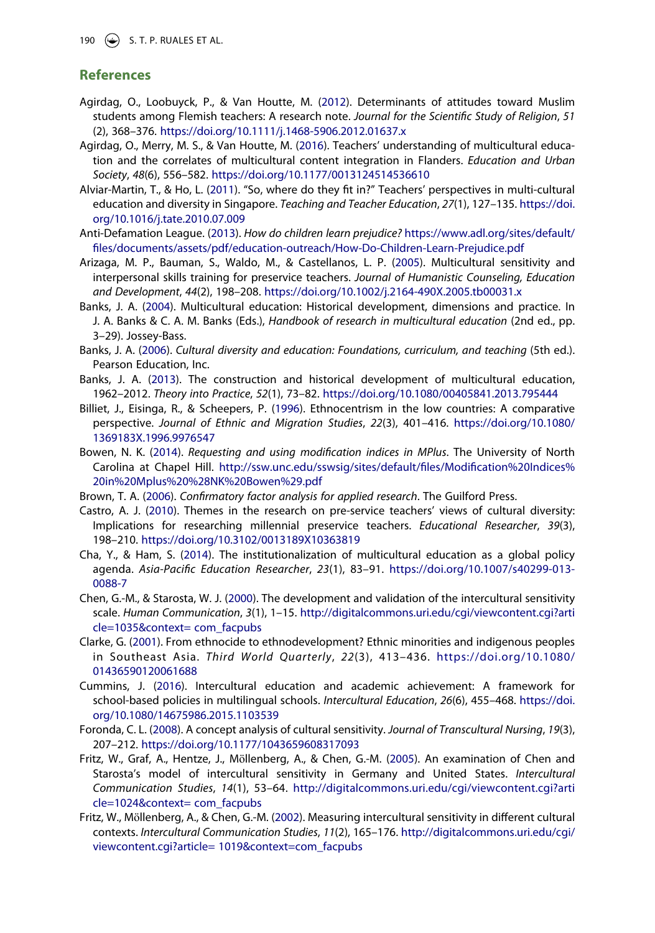190  $\left(\frac{\sqrt{2}}{2}\right)$  S. T. P. RUALES ET AL.

### **References**

- <span id="page-14-8"></span>Agirdag, O., Loobuyck, P., & Van Houtte, M. [\(2012\)](#page-4-0). Determinants of attitudes toward Muslim students among Flemish teachers: A research note. *Journal for the Scientific Study of Religion*, *51*  (2), 368–376. <https://doi.org/10.1111/j.1468-5906.2012.01637.x>
- <span id="page-14-6"></span>Agirdag, O., Merry, M. S., & Van Houtte, M. [\(2016\)](#page-2-0). Teachers' understanding of multicultural education and the correlates of multicultural content integration in Flanders. *Education and Urban Society*, *48*(6), 556–582. <https://doi.org/10.1177/0013124514536610>
- <span id="page-14-3"></span>Alviar-Martin, T., & Ho, L. [\(2011\)](#page-2-1). "So, where do they fit in?" Teachers' perspectives in multi-cultural education and diversity in Singapore. *Teaching and Teacher Education*, *27*(1), 127–135. [https://doi.](https://doi.org/10.1016/j.tate.2010.07.009) [org/10.1016/j.tate.2010.07.009](https://doi.org/10.1016/j.tate.2010.07.009)
- <span id="page-14-1"></span>Anti-Defamation League. ([2013](#page-1-2)). *How do children learn prejudice?* [https://www.adl.org/sites/default/](https://www.adl.org/sites/default/files/documents/assets/pdf/education-outreach/How-Do-Children-Learn-Prejudice.pdf) [files/documents/assets/pdf/education-outreach/How-Do-Children-Learn-Prejudice.pdf](https://www.adl.org/sites/default/files/documents/assets/pdf/education-outreach/How-Do-Children-Learn-Prejudice.pdf)
- <span id="page-14-5"></span>Arizaga, M. P., Bauman, S., Waldo, M., & Castellanos, L. P. ([2005](#page-2-2)). Multicultural sensitivity and interpersonal skills training for preservice teachers. *Journal of Humanistic Counseling, Education and Development*, *44*(2), 198–208. <https://doi.org/10.1002/j.2164-490X.2005.tb00031.x>
- <span id="page-14-10"></span>Banks, J. A. ([2004](#page-4-1)). Multicultural education: Historical development, dimensions and practice. In J. A. Banks & C. A. M. Banks (Eds.), *Handbook of research in multicultural education* (2nd ed., pp. 3–29). Jossey-Bass.
- <span id="page-14-2"></span>Banks, J. A. ([2006](#page-1-3)). *Cultural diversity and education: Foundations, curriculum, and teaching* (5th ed.). Pearson Education, Inc.
- <span id="page-14-9"></span>Banks, J. A. [\(2013](#page-4-2)). The construction and historical development of multicultural education, 1962–2012. *Theory into Practice*, *52*(1), 73–82. <https://doi.org/10.1080/00405841.2013.795444>
- <span id="page-14-17"></span>Billiet, J., Eisinga, R., & Scheepers, P. [\(1996\)](#page-8-0). Ethnocentrism in the low countries: A comparative perspective. *Journal of Ethnic and Migration Studies*, *22*(3), 401–416. [https://doi.org/10.1080/](https://doi.org/10.1080/1369183X.1996.9976547) [1369183X.1996.9976547](https://doi.org/10.1080/1369183X.1996.9976547)
- <span id="page-14-18"></span>Bowen, N. K. [\(2014\)](#page-8-1). *Requesting and using modification indices in MPlus*. The University of North Carolina at Chapel Hill. [http://ssw.unc.edu/sswsig/sites/default/files/Modification%20Indices%](http://ssw.unc.edu/sswsig/sites/default/files/Modification%20Indices%20in%20Mplus%20%28NK%20Bowen%29.pdf) [20in%20Mplus%20%28NK%20Bowen%29.pdf](http://ssw.unc.edu/sswsig/sites/default/files/Modification%20Indices%20in%20Mplus%20%28NK%20Bowen%29.pdf)
- <span id="page-14-16"></span>Brown, T. A. [\(2006\)](#page-8-2). *Confirmatory factor analysis for applied research*. The Guilford Press.
- <span id="page-14-4"></span>Castro, A. J. [\(2010\)](#page-2-3). Themes in the research on pre-service teachers' views of cultural diversity: Implications for researching millennial preservice teachers. *Educational Researcher*, *39*(3), 198–210. <https://doi.org/10.3102/0013189X10363819>
- <span id="page-14-0"></span>Cha, Y., & Ham, S. [\(2014\)](#page-1-4). The institutionalization of multicultural education as a global policy agenda. *Asia-Pacific Education Researcher*, *23*(1), 83–91. [https://doi.org/10.1007/s40299-013-](https://doi.org/10.1007/s40299-013-0088-7) [0088-7](https://doi.org/10.1007/s40299-013-0088-7)
- <span id="page-14-12"></span>Chen, G.-M., & Starosta, W. J. ([2000](#page-5-0)). The development and validation of the intercultural sensitivity scale. *Human Communication*, *3*(1), 1–15. [http://digitalcommons.uri.edu/cgi/viewcontent.cgi?arti](http://digitalcommons.uri.edu/cgi/viewcontent.cgi?article=1035%26context= com_facpubs) [cle=1035&context= com\\_facpubs](http://digitalcommons.uri.edu/cgi/viewcontent.cgi?article=1035%26context= com_facpubs)
- <span id="page-14-15"></span>Clarke, G. ([2001](#page-8-3)). From ethnocide to ethnodevelopment? Ethnic minorities and indigenous peoples in Southeast Asia. *Third World Quarterly*, *22*(3), 413–436. [https://doi.org/10.1080/](https://doi.org/10.1080/01436590120061688)  [01436590120061688](https://doi.org/10.1080/01436590120061688)
- <span id="page-14-11"></span>Cummins, J. [\(2016\)](#page-4-3). Intercultural education and academic achievement: A framework for school-based policies in multilingual schools. *Intercultural Education*, *26*(6), 455–468. [https://doi.](https://doi.org/10.1080/14675986.2015.1103539) [org/10.1080/14675986.2015.1103539](https://doi.org/10.1080/14675986.2015.1103539)
- <span id="page-14-7"></span>Foronda, C. L. [\(2008\)](#page-3-0). A concept analysis of cultural sensitivity. *Journal of Transcultural Nursing*, *19*(3), 207–212. <https://doi.org/10.1177/1043659608317093>
- <span id="page-14-13"></span>Fritz, W., Graf, A., Hentze, J., Mӧllenberg, A., & Chen, G.-M. ([2005](#page-6-0)). An examination of Chen and Starosta's model of intercultural sensitivity in Germany and United States. *Intercultural Communication Studies*, *14*(1), 53–64. [http://digitalcommons.uri.edu/cgi/viewcontent.cgi?arti](http://digitalcommons.uri.edu/cgi/viewcontent.cgi?article=1024%26context=%A0com_facpubs) [cle=1024&context= com\\_facpubs](http://digitalcommons.uri.edu/cgi/viewcontent.cgi?article=1024%26context=%A0com_facpubs)
- <span id="page-14-14"></span>Fritz, W., Mӧllenberg, A., & Chen, G.-M. [\(2002](#page-6-0)). Measuring intercultural sensitivity in different cultural contexts. *Intercultural Communication Studies*, *11*(2), 165–176. [http://digitalcommons.uri.edu/cgi/](http://digitalcommons.uri.edu/cgi/viewcontent.cgi?article=%A01019%26context=com_facpubs) [viewcontent.cgi?article= 1019&context=com\\_facpubs](http://digitalcommons.uri.edu/cgi/viewcontent.cgi?article=%A01019%26context=com_facpubs)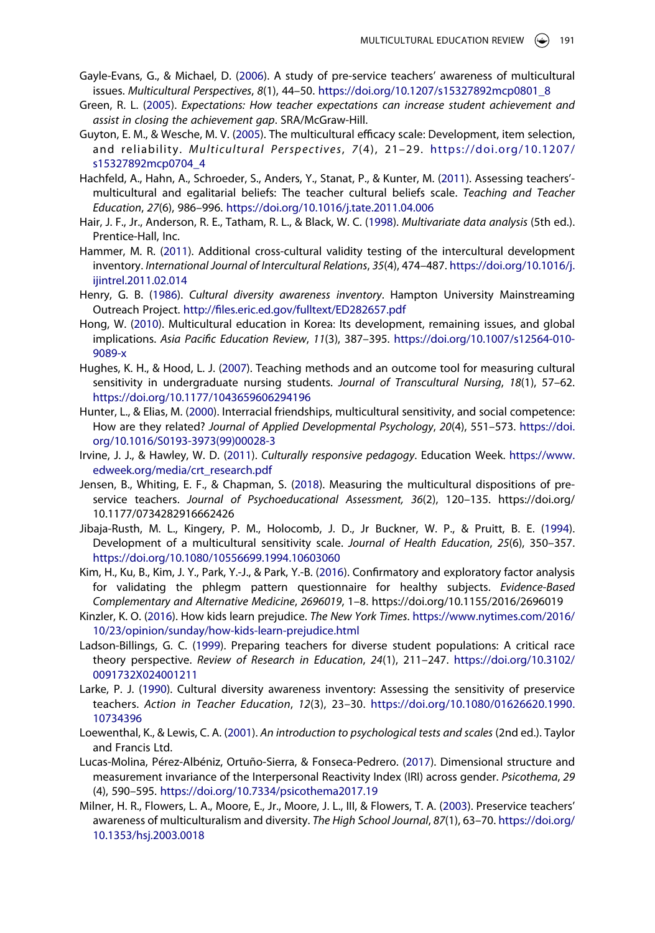- <span id="page-15-6"></span>Gayle-Evans, G., & Michael, D. [\(2006\)](#page-2-3). A study of pre-service teachers' awareness of multicultural issues. *Multicultural Perspectives*, *8*(1), 44–50. [https://doi.org/10.1207/s15327892mcp0801\\_8](https://doi.org/10.1207/s15327892mcp0801_8)
- <span id="page-15-1"></span>Green, R. L. [\(2005\)](#page-2-4). *Expectations: How teacher expectations can increase student achievement and assist in closing the achievement gap*. SRA/McGraw-Hill.
- <span id="page-15-13"></span>Guyton, E. M., & Wesche, M. V. ([2005](#page-5-1)). The multicultural efficacy scale: Development, item selection, and reliability. *Multicultural Perspectives*, *7*(4), 21–29. [https://doi.org/10.1207/](https://doi.org/10.1207/s15327892mcp0704_4)  [s15327892mcp0704\\_4](https://doi.org/10.1207/s15327892mcp0704_4)
- <span id="page-15-2"></span>Hachfeld, A., Hahn, A., Schroeder, S., Anders, Y., Stanat, P., & Kunter, M. [\(2011\)](#page-2-5). Assessing teachers' multicultural and egalitarial beliefs: The teacher cultural beliefs scale. *Teaching and Teacher Education*, *27*(6), 986–996. <https://doi.org/10.1016/j.tate.2011.04.006>
- <span id="page-15-17"></span>Hair, J. F., Jr., Anderson, R. E., Tatham, R. L., & Black, W. C. ([1998](#page-8-4)). *Multivariate data analysis* (5th ed.). Prentice-Hall, Inc.
- <span id="page-15-15"></span>Hammer, M. R. [\(2011\)](#page-5-2). Additional cross-cultural validity testing of the intercultural development inventory. *International Journal of Intercultural Relations*, *35*(4), 474–487. [https://doi.org/10.1016/j.](https://doi.org/10.1016/j.ijintrel.2011.02.014) [ijintrel.2011.02.014](https://doi.org/10.1016/j.ijintrel.2011.02.014)
- <span id="page-15-14"></span>Henry, G. B. [\(1986\)](#page-5-0). *Cultural diversity awareness inventory*. Hampton University Mainstreaming Outreach Project. <http://files.eric.ed.gov/fulltext/ED282657.pdf>
- <span id="page-15-12"></span>Hong, W. ([2010](#page-4-1)). Multicultural education in Korea: Its development, remaining issues, and global implications. *Asia Pacific Education Review*, *11*(3), 387–395. [https://doi.org/10.1007/s12564-010-](https://doi.org/10.1007/s12564-010-9089-x) [9089-x](https://doi.org/10.1007/s12564-010-9089-x)
- <span id="page-15-9"></span>Hughes, K. H., & Hood, L. J. [\(2007\)](#page-3-1). Teaching methods and an outcome tool for measuring cultural sensitivity in undergraduate nursing students. *Journal of Transcultural Nursing*, *18*(1), 57–62. <https://doi.org/10.1177/1043659606294196>
- <span id="page-15-8"></span>Hunter, L., & Elias, M. [\(2000\)](#page-3-2). Interracial friendships, multicultural sensitivity, and social competence: How are they related? *Journal of Applied Developmental Psychology*, *20*(4), 551–573. [https://doi.](https://doi.org/10.1016/S0193-3973(99)00028-3) [org/10.1016/S0193-3973\(99\)00028-3](https://doi.org/10.1016/S0193-3973(99)00028-3)
- <span id="page-15-10"></span>Irvine, J. J., & Hawley, W. D. [\(2011\)](#page-4-4). *Culturally responsive pedagogy*. Education Week. [https://www.](https://www.edweek.org/media/crt_research.pdf) [edweek.org/media/crt\\_research.pdf](https://www.edweek.org/media/crt_research.pdf)
- <span id="page-15-3"></span>Jensen, B., Whiting, E. F., & Chapman, S. ([2018](#page-2-5)). Measuring the multicultural dispositions of preservice teachers. *Journal of Psychoeducational Assessment, 36*(2), 120–135. https://doi.org/ 10.1177/0734282916662426
- <span id="page-15-7"></span>Jibaja-Rusth, M. L., Kingery, P. M., Holocomb, J. D., Jr Buckner, W. P., & Pruitt, B. E. [\(1994\)](#page-3-3). Development of a multicultural sensitivity scale. *Journal of Health Education*, *25*(6), 350–357. <https://doi.org/10.1080/10556699.1994.10603060>
- <span id="page-15-19"></span>Kim, H., Ku, B., Kim, J. Y., Park, Y.-J., & Park, Y.-B. [\(2016\)](#page-11-0). Confirmatory and exploratory factor analysis for validating the phlegm pattern questionnaire for healthy subjects. *Evidence-Based Complementary and Alternative Medicine*, *2696019*, 1–8. https://doi.org/10.1155/2016/2696019
- <span id="page-15-0"></span>Kinzler, K. O. [\(2016\)](#page-1-2). How kids learn prejudice. *The New York Times*. [https://www.nytimes.com/2016/](https://www.nytimes.com/2016/10/23/opinion/sunday/how-kids-learn-prejudice.html) [10/23/opinion/sunday/how-kids-learn-prejudice.html](https://www.nytimes.com/2016/10/23/opinion/sunday/how-kids-learn-prejudice.html)
- <span id="page-15-4"></span>Ladson-Billings, G. C. ([1999\)](#page-2-6). Preparing teachers for diverse student populations: A critical race theory perspective. *Review of Research in Education*, *24*(1), 211–247. [https://doi.org/10.3102/](https://doi.org/10.3102/0091732X024001211) [0091732X024001211](https://doi.org/10.3102/0091732X024001211)
- <span id="page-15-16"></span>Larke, P. J. [\(1990\)](#page-5-3). Cultural diversity awareness inventory: Assessing the sensitivity of preservice teachers. *Action in Teacher Education*, *12*(3), 23–30. [https://doi.org/10.1080/01626620.1990.](https://doi.org/10.1080/01626620.1990.10734396) [10734396](https://doi.org/10.1080/01626620.1990.10734396)
- <span id="page-15-18"></span>Loewenthal, K., & Lewis, C. A. [\(2001\)](#page-8-2). *An introduction to psychological tests and scales* (2nd ed.). Taylor and Francis Ltd.
- <span id="page-15-11"></span>Lucas-Molina, Pérez-Albéniz, Ortuño-Sierra, & Fonseca-Pedrero. ([2017](#page-4-5)). Dimensional structure and measurement invariance of the Interpersonal Reactivity Index (IRI) across gender. *Psicothema*, *29*  (4), 590–595. <https://doi.org/10.7334/psicothema2017.19>
- <span id="page-15-5"></span>Milner, H. R., Flowers, L. A., Moore, E., Jr., Moore, J. L., III, & Flowers, T. A. ([2003](#page-2-7)). Preservice teachers' awareness of multiculturalism and diversity. *The High School Journal*, *87*(1), 63–70. [https://doi.org/](https://doi.org/10.1353/hsj.2003.0018) [10.1353/hsj.2003.0018](https://doi.org/10.1353/hsj.2003.0018)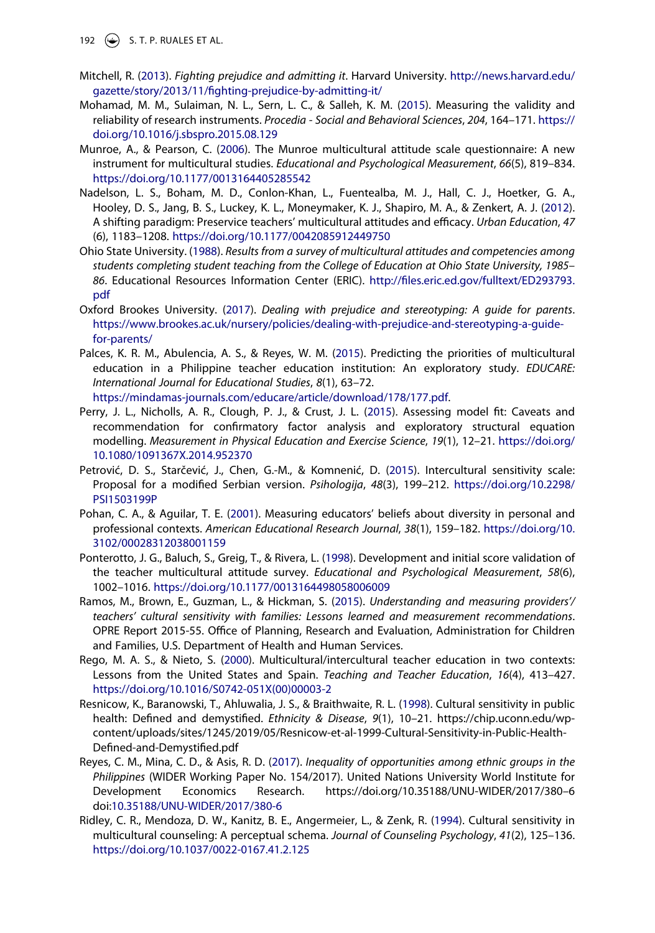- 192  $\left(\frac{1}{2}\right)$  S. T. P. RUALES ET AL.
- <span id="page-16-1"></span>Mitchell, R. [\(2013\)](#page-1-2). *Fighting prejudice and admitting it*. Harvard University. [http://news.harvard.edu/](http://news.harvard.edu/gazette/story/2013/11/fighting-prejudice-by-admitting-it/) [gazette/story/2013/11/fighting-prejudice-by-admitting-it/](http://news.harvard.edu/gazette/story/2013/11/fighting-prejudice-by-admitting-it/)
- <span id="page-16-14"></span>Mohamad, M. M., Sulaiman, N. L., Sern, L. C., & Salleh, K. M. ([2015](#page-10-2)). Measuring the validity and reliability of research instruments. *Procedia - Social and Behavioral Sciences*, *204*, 164–171. [https://](https://doi.org/10.1016/j.sbspro.2015.08.129) [doi.org/10.1016/j.sbspro.2015.08.129](https://doi.org/10.1016/j.sbspro.2015.08.129)
- <span id="page-16-12"></span>Munroe, A., & Pearson, C. ([2006](#page-5-4)). The Munroe multicultural attitude scale questionnaire: A new instrument for multicultural studies. *Educational and Psychological Measurement*, *66*(5), 819–834. <https://doi.org/10.1177/0013164405285542>
- <span id="page-16-8"></span>Nadelson, L. S., Boham, M. D., Conlon-Khan, L., Fuentealba, M. J., Hall, C. J., Hoetker, G. A., Hooley, D. S., Jang, B. S., Luckey, K. L., Moneymaker, K. J., Shapiro, M. A., & Zenkert, A. J. [\(2012\)](#page-4-6). A shifting paradigm: Preservice teachers' multicultural attitudes and efficacy. *Urban Education*, *47*  (6), 1183–1208. <https://doi.org/10.1177/0042085912449750>
- <span id="page-16-9"></span>Ohio State University. [\(1988\)](#page-5-5). *Results from a survey of multicultural attitudes and competencies among students completing student teaching from the College of Education at Ohio State University, 1985*– *86*. Educational Resources Information Center (ERIC). [http://files.eric.ed.gov/fulltext/ED293793.](http://files.eric.ed.gov/fulltext/ED293793.pdf) [pdf](http://files.eric.ed.gov/fulltext/ED293793.pdf)
- <span id="page-16-2"></span>Oxford Brookes University. [\(2017\)](#page-1-2). *Dealing with prejudice and stereotyping: A guide for parents*. [https://www.brookes.ac.uk/nursery/policies/dealing-with-prejudice-and-stereotyping-a-guide](https://www.brookes.ac.uk/nursery/policies/dealing-with-prejudice-and-stereotyping-a-guide-for-parents/)[for-parents/](https://www.brookes.ac.uk/nursery/policies/dealing-with-prejudice-and-stereotyping-a-guide-for-parents/)
- <span id="page-16-4"></span>Palces, K. R. M., Abulencia, A. S., & Reyes, W. M. ([2015](#page-3-4)). Predicting the priorities of multicultural education in a Philippine teacher education institution: An exploratory study. *EDUCARE: International Journal for Educational Studies*, *8*(1), 63–72.

[https://mindamas-journals.com/educare/article/download/178/177.pdf.](https://mindamas-journals.com/educare/article/download/178/177.pdf)

- <span id="page-16-15"></span>Perry, J. L., Nicholls, A. R., Clough, P. J., & Crust, J. L. ([2015](#page-11-1)). Assessing model fit: Caveats and recommendation for confirmatory factor analysis and exploratory structural equation modelling. *Measurement in Physical Education and Exercise Science*, *19*(1), 12–21. [https://doi.org/](https://doi.org/10.1080/1091367X.2014.952370) [10.1080/1091367X.2014.952370](https://doi.org/10.1080/1091367X.2014.952370)
- <span id="page-16-13"></span>Petrović, D. S., Starčević, J., Chen, G.-M., & Komnenić, D. [\(2015\)](#page-6-0). Intercultural sensitivity scale: Proposal for a modified Serbian version. *Psihologija*, *48*(3), 199–212. [https://doi.org/10.2298/](https://doi.org/10.2298/PSI1503199P) [PSI1503199P](https://doi.org/10.2298/PSI1503199P)
- <span id="page-16-11"></span>Pohan, C. A., & Aguilar, T. E. ([2001](#page-5-3)). Measuring educators' beliefs about diversity in personal and professional contexts. *American Educational Research Journal*, *38*(1), 159–182. [https://doi.org/10.](https://doi.org/10.3102/00028312038001159) [3102/00028312038001159](https://doi.org/10.3102/00028312038001159)
- <span id="page-16-10"></span>Ponterotto, J. G., Baluch, S., Greig, T., & Rivera, L. [\(1998\)](#page-5-6). Development and initial score validation of the teacher multicultural attitude survey. *Educational and Psychological Measurement*, *58*(6), 1002–1016. <https://doi.org/10.1177/0013164498058006009>
- <span id="page-16-5"></span>Ramos, M., Brown, E., Guzman, L., & Hickman, S. [\(2015\)](#page-3-5). *Understanding and measuring providers'/ teachers' cultural sensitivity with families: Lessons learned and measurement recommendations*. OPRE Report 2015-55. Office of Planning, Research and Evaluation, Administration for Children and Families, U.S. Department of Health and Human Services.
- <span id="page-16-0"></span>Rego, M. A. S., & Nieto, S. ([2000](#page-1-5)). Multicultural/intercultural teacher education in two contexts: Lessons from the United States and Spain. *Teaching and Teacher Education*, *16*(4), 413–427. [https://doi.org/10.1016/S0742-051X\(00\)00003-2](https://doi.org/10.1016/S0742-051X(00)00003-2)
- <span id="page-16-7"></span>Resnicow, K., Baranowski, T., Ahluwalia, J. S., & Braithwaite, R. L. [\(1998\)](#page-3-6). Cultural sensitivity in public health: Defined and demystified. *Ethnicity & Disease*, *9*(1), 10–21. https://chip.uconn.edu/wpcontent/uploads/sites/1245/2019/05/Resnicow-et-al-1999-Cultural-Sensitivity-in-Public-Health-Defined-and-Demystified.pdf
- <span id="page-16-3"></span>Reyes, C. M., Mina, C. D., & Asis, R. D. ([2017](#page-2-8)). *Inequality of opportunities among ethnic groups in the Philippines* (WIDER Working Paper No. 154/2017). United Nations University World Institute for Development Economics Research. https://doi.org/10.35188/UNU-WIDER/2017/380–6 doi:[10.35188/UNU-WIDER/2017/380-6](https://doi.org/10.35188/UNU-WIDER/2017/380-6)
- <span id="page-16-6"></span>Ridley, C. R., Mendoza, D. W., Kanitz, B. E., Angermeier, L., & Zenk, R. [\(1994\)](#page-3-7). Cultural sensitivity in multicultural counseling: A perceptual schema. *Journal of Counseling Psychology*, *41*(2), 125–136. <https://doi.org/10.1037/0022-0167.41.2.125>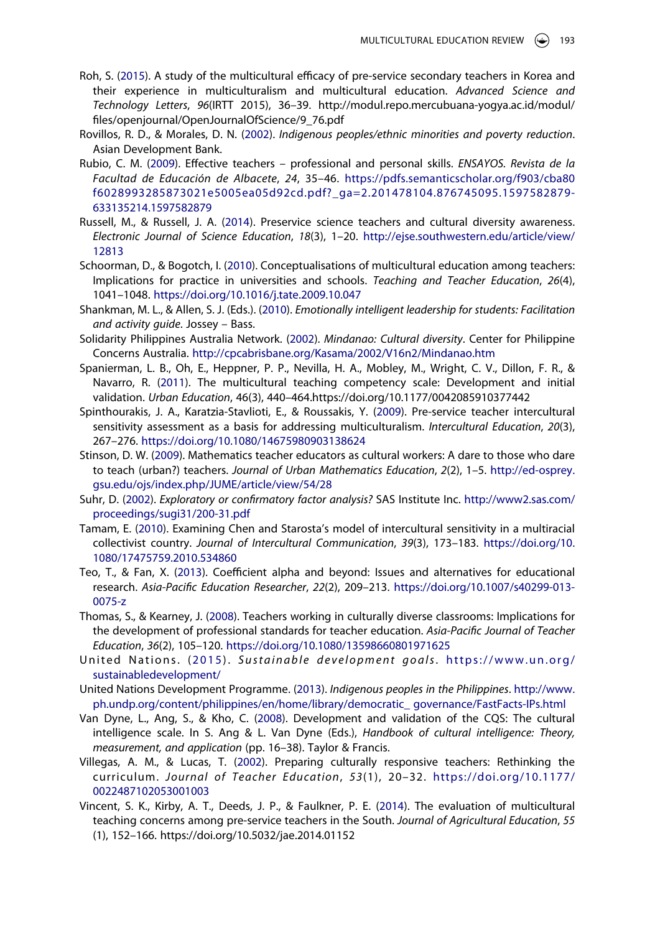- <span id="page-17-10"></span>Roh, S. ([2015](#page-4-7)). A study of the multicultural efficacy of pre-service secondary teachers in Korea and their experience in multiculturalism and multicultural education. *Advanced Science and Technology Letters*, *96*(IRTT 2015), 36–39. http://modul.repo.mercubuana-yogya.ac.id/modul/ files/openjournal/OpenJournalOfScience/9\_76.pdf
- <span id="page-17-15"></span>Rovillos, R. D., & Morales, D. N. [\(2002\)](#page-8-3). *Indigenous peoples/ethnic minorities and poverty reduction*. Asian Development Bank.
- <span id="page-17-0"></span>Rubio, C. M. [\(2009\)](#page-2-9). Effective teachers – professional and personal skills. *ENSAYOS. Revista de la Facultad de Educación de Albacete*, *24*, 35–46. [https://pdfs.semanticscholar.org/f903/cba80](https://pdfs.semanticscholar.org/f903/cba80f6028993285873021e5005ea05d92cd.pdf?_ga=2.201478104.876745095.1597582879-633135214.1597582879%A0) [f6028993285873021e5005ea05d92cd.pdf?\\_ga=2.201478104.876745095.1597582879-](https://pdfs.semanticscholar.org/f903/cba80f6028993285873021e5005ea05d92cd.pdf?_ga=2.201478104.876745095.1597582879-633135214.1597582879%A0)  [633135214.1597582879](https://pdfs.semanticscholar.org/f903/cba80f6028993285873021e5005ea05d92cd.pdf?_ga=2.201478104.876745095.1597582879-633135214.1597582879%A0)
- <span id="page-17-6"></span>Russell, M., & Russell, J. A. ([2014](#page-4-0)). Preservice science teachers and cultural diversity awareness. *Electronic Journal of Science Education*, *18*(3), 1–20. [http://ejse.southwestern.edu/article/view/](http://ejse.southwestern.edu/article/view/12813) [12813](http://ejse.southwestern.edu/article/view/12813)
- <span id="page-17-11"></span>Schoorman, D., & Bogotch, I. [\(2010\)](#page-4-8). Conceptualisations of multicultural education among teachers: Implications for practice in universities and schools. *Teaching and Teacher Education*, *26*(4), 1041–1048. <https://doi.org/10.1016/j.tate.2009.10.047>
- <span id="page-17-18"></span>Shankman, M. L., & Allen, S. J. (Eds.). ([2010\)](#page-10-3). *Emotionally intelligent leadership for students: Facilitation and activity guide*. Jossey – Bass.
- <span id="page-17-5"></span>Solidarity Philippines Australia Network. [\(2002\)](#page-2-10). *Mindanao: Cultural diversity*. Center for Philippine Concerns Australia. <http://cpcabrisbane.org/Kasama/2002/V16n2/Mindanao.htm>
- <span id="page-17-9"></span>Spanierman, L. B., Oh, E., Heppner, P. P., Nevilla, H. A., Mobley, M., Wright, C. V., Dillon, F. R., & Navarro, R. ([2011](#page-4-9)). The multicultural teaching competency scale: Development and initial validation. *Urban Education*, 46(3), 440–464.https://doi.org/10.1177/0042085910377442
- <span id="page-17-13"></span>Spinthourakis, J. A., Karatzia-Stavlioti, E., & Roussakis, Y. ([2009](#page-6-1)). Pre-service teacher intercultural sensitivity assessment as a basis for addressing multiculturalism. *Intercultural Education*, *20*(3), 267–276. <https://doi.org/10.1080/14675980903138624>
- <span id="page-17-7"></span>Stinson, D. W. ([2009\)](#page-4-5). Mathematics teacher educators as cultural workers: A dare to those who dare to teach (urban?) teachers. *Journal of Urban Mathematics Education*, *2*(2), 1–5. [http://ed-osprey.](http://ed-osprey.gsu.edu/ojs/index.php/JUME/article/view/54/28) [gsu.edu/ojs/index.php/JUME/article/view/54/28](http://ed-osprey.gsu.edu/ojs/index.php/JUME/article/view/54/28)
- <span id="page-17-16"></span>Suhr, D. ([2002](#page-8-4)). *Exploratory or confirmatory factor analysis?* SAS Institute Inc. [http://www2.sas.com/](http://www2.sas.com/proceedings/sugi31/200-31.pdf) [proceedings/sugi31/200-31.pdf](http://www2.sas.com/proceedings/sugi31/200-31.pdf)
- <span id="page-17-14"></span>Tamam, E. [\(2010\)](#page-6-0). Examining Chen and Starosta's model of intercultural sensitivity in a multiracial collectivist country. *Journal of Intercultural Communication*, *39*(3), 173–183. [https://doi.org/10.](https://doi.org/10.1080/17475759.2010.534860) [1080/17475759.2010.534860](https://doi.org/10.1080/17475759.2010.534860)
- <span id="page-17-17"></span>Teo, T., & Fan, X. ([2013](#page-8-5)). Coefficient alpha and beyond: Issues and alternatives for educational research. *Asia-Pacific Education Researcher*, *22*(2), 209–213. [https://doi.org/10.1007/s40299-013-](https://doi.org/10.1007/s40299-013-0075-z) [0075-z](https://doi.org/10.1007/s40299-013-0075-z)
- <span id="page-17-8"></span>Thomas, S., & Kearney, J. ([2008](#page-4-5)). Teachers working in culturally diverse classrooms: Implications for the development of professional standards for teacher education. *Asia-Pacific Journal of Teacher Education*, *36*(2), 105–120. <https://doi.org/10.1080/13598660801971625>
- <span id="page-17-1"></span>United Nations. ([2015](#page-2-11)). *Sustainable development goals*. [https://www.un.org/](https://www.un.org/sustainabledevelopment/) [sustainabledevelopment/](https://www.un.org/sustainabledevelopment/)
- <span id="page-17-4"></span>United Nations Development Programme. ([2013](#page-2-12)). *Indigenous peoples in the Philippines*. [http://www.](http://www.ph.undp.org/content/philippines/en/home/library/democratic_ governance/FastFacts-IPs.html) [ph.undp.org/content/philippines/en/home/library/democratic\\_ governance/FastFacts-IPs.html](http://www.ph.undp.org/content/philippines/en/home/library/democratic_ governance/FastFacts-IPs.html)
- <span id="page-17-12"></span>Van Dyne, L., Ang, S., & Kho, C. [\(2008](#page-5-7)). Development and validation of the CQS: The cultural intelligence scale. In S. Ang & L. Van Dyne (Eds.), *Handbook of cultural intelligence: Theory, measurement, and application* (pp. 16–38). Taylor & Francis.
- <span id="page-17-2"></span>Villegas, A. M., & Lucas, T. ([2002](#page-2-13)). Preparing culturally responsive teachers: Rethinking the curriculum. *Journal of Teacher Education*, *53*(1), 20–32. [https://doi.org/10.1177/](https://doi.org/10.1177/0022487102053001003)  [0022487102053001003](https://doi.org/10.1177/0022487102053001003)
- <span id="page-17-3"></span>Vincent, S. K., Kirby, A. T., Deeds, J. P., & Faulkner, P. E. ([2014](#page-2-14)). The evaluation of multicultural teaching concerns among pre-service teachers in the South. *Journal of Agricultural Education*, *55*  (1), 152–166. https://doi.org/10.5032/jae.2014.01152